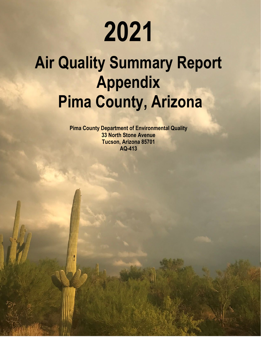# **2021**

## **Air Quality Summary Report Appendix Pima County, Arizona**

**Pima County Department of Environmental Quality 33 North Stone Avenue Tucson, Arizona 85701 AQ-413**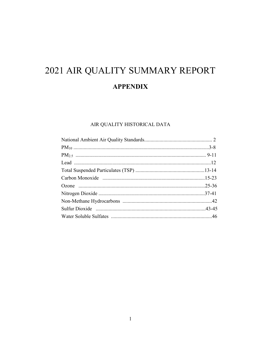## 2021 AIR QUALITY SUMMARY REPORT **APPENDIX**

### AIR QUALITY HISTORICAL DATA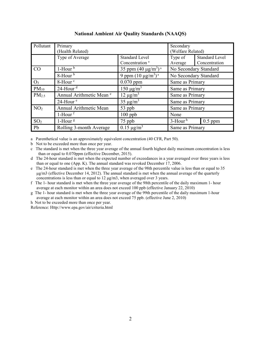| Pollutant       | Primary<br>(Health Related)         |                                                     | Secondary<br>(Welfare Related) |                                        |
|-----------------|-------------------------------------|-----------------------------------------------------|--------------------------------|----------------------------------------|
|                 | Type of Average                     | <b>Standard Level</b><br>Concentration <sup>a</sup> | Type of<br>Average             | <b>Standard Level</b><br>Concentration |
| <b>CO</b>       | $1$ -Hour $b$                       | 35 ppm $(40 \mu g/m^3)^a$                           | No Secondary Standard          |                                        |
|                 | 8-Hour <sup>b</sup>                 | 9 ppm $(10 \mu g/m^3)^a$                            | No Secondary Standard          |                                        |
| $O_3$           | 8-Hour <sup>c</sup>                 | $0.070$ ppm                                         | Same as Primary                |                                        |
| $PM_{10}$       | $24$ -Hour <sup>d</sup>             | $150 \mu g/m^3$                                     | Same as Primary                |                                        |
| $PM_{2.5}$      | Annual Arithmetic Mean <sup>e</sup> | $\overline{12} \mu g/m^3$                           | Same as Primary                |                                        |
|                 | $24$ -Hour $e$                      | $35 \mu g/m^3$                                      | Same as Primary                |                                        |
| NO <sub>2</sub> | Annual Arithmetic Mean              | 53 ppb                                              | Same as Primary                |                                        |
|                 | $1$ -Hour $f$                       | $100$ ppb                                           | None                           |                                        |
| SO <sub>2</sub> | $1$ -Hour <sup>g</sup>              | 75 ppb                                              | $3$ -Hour <sup>h</sup>         | $0.5$ ppm                              |
| Pb              | Rolling 3-month Average             | $0.15 \mu g/m^3$                                    | Same as Primary                |                                        |

**National Ambient Air Quality Standards (NAAQS)**

a Parenthetical value is an approximately equivalent concentration (40 CFR, Part 50).

b Not to be exceeded more than once per year.

c The standard is met when the three year average of the annual fourth highest daily maximum concentration is less than or equal to 0.070ppm (effective December, 2015).

d The 24-hour standard is met when the expected number of exceedances in a year averaged over three years is less than or equal to one (App. K). The annual standard was revoked December 17, 2006.

e The 24-hour standard is met when the three year average of the 98th percentile value is less than or equal to 35 μg/m3 (effective December 14, 2012). The annual standard is met when the annual average of the quarterly concentrations is less than or equal to 12 μg/m3, when averaged over 3 years.

f The 1- hour standard is met when the three year average of the 98th percentile of the daily maximum 1- hour average at each monitor within an area does not exceed 100 ppb (effective January 22, 2010)

g The 1- hour standard is met when the three year average of the 99th percentile of the daily maximum 1-hour average at each monitor within an area does not exceed 75 ppb. (effective June 2, 2010)

h Not to be exceeded more than once per year.

Reference: Http://www.epa.gov/air/criteria.html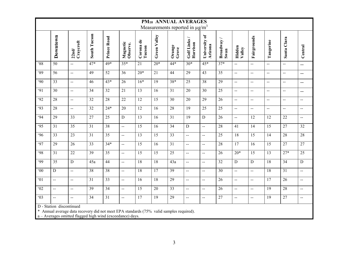|                  | PM10 ANNUAL AVERAGES<br>Measurements reported in $\mu$ g/m <sup>3</sup> |                          |                 |                 |                      |                     |                 |                 |                           |                          |                   |                                               |                                               |                          |                          |                          |
|------------------|-------------------------------------------------------------------------|--------------------------|-----------------|-----------------|----------------------|---------------------|-----------------|-----------------|---------------------------|--------------------------|-------------------|-----------------------------------------------|-----------------------------------------------|--------------------------|--------------------------|--------------------------|
|                  |                                                                         |                          |                 |                 |                      |                     |                 |                 |                           |                          |                   |                                               |                                               |                          |                          |                          |
|                  | Downtown                                                                | Craycroft<br>22nd/       | South Tucson    | Prince Road     | Magnetic<br>Observe. | Corona de<br>Tucson | Green Valley    | Orange<br>Grove | Golf Links/<br>Harrison   | University of<br>Arizona | Broadway/<br>Swan | Hidden<br>Valley                              | Fairgrounds                                   | Tangerine                | Santa Clara              | Central                  |
| 88               | 50                                                                      | $\overline{a}$           | $47*$           | $49*$           | $35*$                | 21                  | $20*$           | $44*$           | $30*$                     | $45*$                    | $37*$             | $\mathbf{u}$                                  | $\mathbf{L}$                                  | $\overline{\phantom{a}}$ | $\mathbf{H}$             | $-$                      |
| $\overline{89}$  | 56                                                                      | $\overline{a}$           | 49              | 52              | $\overline{36}$      | $20*$               | 21              | 44              | 29                        | 43                       | $\overline{35}$   | $\mathbf{H}$                                  | $\mathbf{H}$                                  | $\overline{a}$           | $\mathbf{H}$             | $\overline{\phantom{m}}$ |
| .90              | 33                                                                      | $\overline{\phantom{a}}$ | 46              | $43*$           | 26                   | $16*$               | 19              | $38*$           | 25                        | 38                       | $\overline{29}$   | $\mathord{\hspace{1pt}\text{--}\hspace{1pt}}$ | $\sim$ $\sim$                                 | $\overline{\phantom{a}}$ | $\mathbf{H}$             | $\overline{\phantom{a}}$ |
| $\overline{91}$  | $\overline{30}$                                                         | L.                       | $\overline{34}$ | 32              | $\overline{21}$      | $\overline{13}$     | 16              | $\overline{31}$ | 20                        | 30                       | $\overline{25}$   | $\overline{a}$                                | $\overline{a}$                                | $\overline{a}$           | $\overline{a}$           | $\overline{\phantom{m}}$ |
| $\overline{92}$  | 28                                                                      | $\overline{\phantom{a}}$ | $\overline{32}$ | 28              | $\overline{22}$      | 12                  | 15              | $\overline{30}$ | 20                        | $\overline{29}$          | $\overline{26}$   | $-$                                           | $\mathord{\hspace{1pt}\text{--}\hspace{1pt}}$ | $\overline{\phantom{a}}$ | $\overline{\phantom{a}}$ | $\overline{\phantom{a}}$ |
| $\overline{93}$  | 28                                                                      | $\overline{a}$           | 32              | $24*$           | 20                   | $\overline{12}$     | 16              | 28              | 19                        | 25                       | $\overline{25}$   | $\mathbf{u}$                                  | $\mathbf{u}$                                  | $\overline{a}$           | $\overline{a}$           | $\rightarrow$            |
| $\overline{.94}$ | 29                                                                      | $\overline{33}$          | $\overline{27}$ | 25              | $\overline{D}$       | $\overline{13}$     | 16              | $\overline{31}$ | 19                        | ${\bf D}$                | $\overline{26}$   | $-$                                           | 12                                            | 12                       | $\overline{22}$          | $\overline{a}$           |
| $\overline{95}$  | 31                                                                      | $\overline{35}$          | $\overline{31}$ | 38              | $\ddot{\phantom{a}}$ | 15                  | 16              | $\overline{34}$ | $\overline{D}$            | $\overline{a}$           | 28                | 41                                            | 14                                            | 15                       | $\overline{27}$          | 32                       |
| $\overline{.96}$ | $\overline{33}$                                                         | $\overline{23}$          | $\overline{31}$ | $\overline{35}$ | $\overline{a}$       | $\overline{13}$     | 15              | $\overline{33}$ | $\mathbf{u}$              | $\mathbf{L}$             | $\overline{25}$   | $\overline{18}$                               | 15                                            | $\overline{14}$          | $\overline{28}$          | 28                       |
| $\overline{97}$  | 29                                                                      | 26                       | 33              | $34*$           | $\ddot{\phantom{a}}$ | 15                  | 16              | 31              | $\overline{a}$            | $\overline{a}$           | 28                | 17                                            | 16                                            | 15                       | 27                       | $\overline{27}$          |
| $\overline{98}$  | 31                                                                      | $\overline{22}$          | 39              | $\overline{35}$ | $\ddotsc$            | $\overline{15}$     | 15              | $\overline{25}$ | $ -$                      | $\overline{a}$           | $\overline{26}$   | $20*$                                         | 15                                            | 13                       | $27*$                    | $\overline{25}$          |
| $\overline{99}$  | 35                                                                      | D                        | 45a             | 44              | $\ddotsc$            | 18                  | 18              | 43a             | $\mathbf{L}$              | $\overline{a}$           | 32                | $\mathbf D$                                   | ${\bf D}$                                     | $\overline{18}$          | $\overline{34}$          | $\overline{D}$           |
| $\overline{60}$  | $\overline{D}$                                                          | $\overline{a}$           | $\overline{38}$ | $\overline{38}$ | $\overline{a}$       | $\overline{18}$     | $\overline{17}$ | 39              | $ -$                      | $\overline{a}$           | 30                | $\mathbf{H}$                                  | $\overline{a}$                                | $\overline{18}$          | 31                       | $\overline{a}$           |
| $\overline{01}$  | $\mathbb{L}^{\mathbb{L}}$                                               | $\overline{a}$           | 31              | 33              | $\ddotsc$            | 16                  | 18              | 29              | $\overline{a}$            | $\mathbf{L}$             | $\overline{26}$   | $\mathbf{L}$                                  | $\overline{a}$                                | 17                       | 26                       | L.                       |
| $\overline{02}$  | $\mathbb{L}^{\mathbb{L}}$                                               | $\overline{a}$           | 39              | $\overline{34}$ | $\overline{a}$       | $\overline{15}$     | $\overline{20}$ | 33              | $ -$                      | $\mathbf{u}$             | $\overline{26}$   | $\mathbf{u}$                                  | $\mathbf{L}$                                  | $\overline{19}$          | 28                       | $\overline{a}$           |
| $\overline{63}$  | $\mathbf{L}$                                                            | $\overline{a}$           | 34              | 31              | $\overline{a}$       | $\overline{17}$     | 19              | $\overline{29}$ | $\mathbf{H} = \mathbf{H}$ | $\mathbf{H}$             | $\overline{27}$   | $\mathbf{H}$                                  | $\mathord{\hspace{1pt}\text{--}\hspace{1pt}}$ | 19                       | $\overline{27}$          | $\overline{\phantom{a}}$ |
|                  | D - Station discontinued                                                |                          |                 |                 |                      |                     |                 |                 |                           |                          |                   |                                               |                                               |                          |                          |                          |

\* Annual average data recovery did not meet EPA standards (75% valid samples required).

a – Averages omitted flagged high wind (exceedance) days.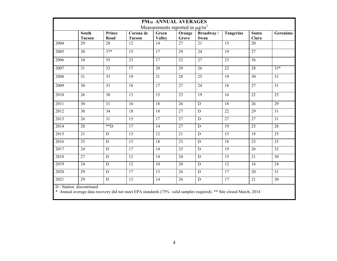| PM <sub>10</sub> ANNUAL AVERAGES |                                                                                                                                                |                    |                            |                                                 |                 |                   |                 |                       |                 |
|----------------------------------|------------------------------------------------------------------------------------------------------------------------------------------------|--------------------|----------------------------|-------------------------------------------------|-----------------|-------------------|-----------------|-----------------------|-----------------|
|                                  |                                                                                                                                                |                    |                            | Measurements reported in $\mu$ g/m <sup>3</sup> |                 |                   |                 |                       |                 |
|                                  | <b>South</b><br><b>Tucson</b>                                                                                                                  | Prince<br>Road     | Corona de<br><b>Tucson</b> | Green<br><b>Valley</b>                          | Orange<br>Grove | Broadway/<br>Swan | Tangerine       | <b>Santa</b><br>Clara | Geronimo        |
| 2004                             | $\overline{29}$                                                                                                                                | $\overline{28}$    | $\overline{12}$            | 14                                              | 27              | 21                | $\overline{15}$ | 20                    |                 |
| 2005                             | $\overline{30}$                                                                                                                                | $37*$              | $\overline{15}$            | 17                                              | 29              | 24                | $\overline{19}$ | 27                    |                 |
| 2006                             | 34                                                                                                                                             | 35                 | $\overline{23}$            | 17                                              | 32              | 27                | 23              | 36                    |                 |
| 2007                             | 31                                                                                                                                             | 32                 | 17                         | 20                                              | 29              | 26                | 22              | 28                    | $33*$           |
| 2008                             | 31                                                                                                                                             | 33                 | 19                         | 21                                              | 28              | 25                | 19              | 30                    | 31              |
| 2009                             | 30                                                                                                                                             | 33                 | 18                         | 17                                              | 27              | 24                | 18              | 27                    | 31              |
| 2010                             | 26                                                                                                                                             | 30                 | $\overline{13}$            | 15                                              | 23              | 19                | 16              | $\overline{22}$       | 25              |
| 2011                             | 30                                                                                                                                             | 31                 | 16                         | 18                                              | 26              | D                 | 18              | 26                    | 29              |
| 2012                             | 30                                                                                                                                             | 34                 | $\overline{18}$            | 18                                              | 27              | $\overline{D}$    | $\overline{22}$ | $\overline{29}$       | 31              |
| 2013                             | 26                                                                                                                                             | 31                 | $\overline{15}$            | 17                                              | 27              | $\overline{D}$    | $\overline{27}$ | $\overline{27}$       | $\overline{31}$ |
| 2014                             | 28                                                                                                                                             | $*$ $\overline{D}$ | 17                         | 14                                              | 27              | $\mathbf D$       | 19              | 25                    | 28              |
| 2015                             | 21                                                                                                                                             | D                  | 13                         | 12                                              | 21              | $\mathbf D$       | 15              | 18                    | 25              |
| 2016                             | 25                                                                                                                                             | D                  | 15                         | 18                                              | 23              | $\mathbf D$       | 18              | 23                    | 25              |
| 2017                             | 24                                                                                                                                             | $\mathbf D$        | 17                         | 14                                              | 25              | ${\bf D}$         | 19              | 26                    | 32              |
| 2018                             | 27                                                                                                                                             | D                  | 12                         | 14                                              | 24              | D                 | $\overline{15}$ | 21                    | 30              |
| 2019                             | 24                                                                                                                                             | $\mathbf D$        | 12                         | 10                                              | 20              | ${\bf D}$         | 12              | 16                    | 24              |
| 2020                             | 29                                                                                                                                             | $\mathbf D$        | $\overline{17}$            | 13                                              | 26              | D                 | 17              | 20                    | 31              |
| 2021                             | 29                                                                                                                                             | $\mathbf D$        | 13                         | 14                                              | 26              | $\mathbf D$       | 17              | 21                    | 30              |
|                                  | D - Station discontinued<br>* Annual average data recovery did not meet EPA standards (75% valid samples required). ** Site closed March, 2014 |                    |                            |                                                 |                 |                   |                 |                       |                 |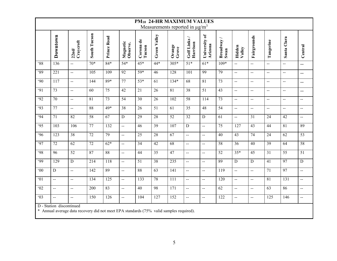|                  | PM <sub>10</sub> 24-HR MAXIMUM VALUES<br>Measurements reported in $\mu$ g/m <sup>3</sup>                            |                          |                 |                    |                      |                     |                 |                 |                           |                                               |                   |                             |                                               |                          |                          |                          |
|------------------|---------------------------------------------------------------------------------------------------------------------|--------------------------|-----------------|--------------------|----------------------|---------------------|-----------------|-----------------|---------------------------|-----------------------------------------------|-------------------|-----------------------------|-----------------------------------------------|--------------------------|--------------------------|--------------------------|
|                  | Downtown                                                                                                            | Craycroft<br>22nd/       | South Tucson    | <b>Prince Road</b> | Magnetic<br>Observe. | Corona de<br>Tucson | Green Valley    | Orange<br>Grove | Golf Links/<br>Harrison   | University of<br>Arizona                      | Broadway/<br>Swan | Hidden<br>Valley            | Fairgrounds                                   | Tangerine                | Santa Clara              | Central                  |
| $\overline{88}$  | 136                                                                                                                 | $\overline{\phantom{a}}$ | $70*$           | $84*$              | $54*$                | $45*$               | $44*$           | $305*$          | $51*$                     | $61*$                                         | $109*$            | $\mathbb{L}^{\mathbb{L}}$   | $\mathcal{L}_{\mathcal{A}}$                   | $\frac{1}{2}$            | ш.,                      | $\overline{a}$           |
| ·89              | 221                                                                                                                 | $\overline{a}$           | 105             | 109                | 92                   | 59*                 | 46              | 128             | 101                       | 99                                            | 79                | $\frac{1}{2}$               | $\mathbf{L}$                                  | $\overline{a}$           | $\overline{a}$           | $-$                      |
| $\overline{.90}$ | 117                                                                                                                 | L.                       | 144             | $89*$              | $\overline{77}$      | $53*$               | $\overline{61}$ | $134*$          | 68                        | $\overline{81}$                               | $\overline{73}$   | $\frac{1}{2}$               | $\mathbf{L}$                                  | $\overline{a}$           | $\overline{a}$           | $-$                      |
| $\overline{91}$  | $\overline{73}$                                                                                                     | $\overline{a}$           | 60              | $\overline{75}$    | $\overline{42}$      | $\overline{21}$     | 26              | $\overline{81}$ | $\overline{38}$           | $\overline{51}$                               | $\overline{43}$   | $\overline{a}$              | $\overline{a}$                                | $-$                      | $-$                      | $-$                      |
| $\overline{92}$  | $\overline{70}$                                                                                                     | $\overline{\phantom{a}}$ | $\overline{81}$ | 73                 | 54                   | 30                  | $\overline{26}$ | 102             | 58                        | 114                                           | 73                | $\frac{1}{2}$               | $\sim$                                        | $\overline{\phantom{a}}$ | $\overline{\phantom{a}}$ | $\overline{a}$           |
| $\overline{93}$  | 77                                                                                                                  | $\sim$                   | 88              | $49*$              | $\overline{38}$      | 26                  | $\overline{51}$ | $\overline{61}$ | $\overline{35}$           | 48                                            | $\overline{54}$   | $\overline{a}$              | $\mathbf{u}$                                  | $\overline{a}$           | $\overline{a}$           | $\overline{\phantom{a}}$ |
| $\overline{.94}$ | $\overline{71}$                                                                                                     | 82                       | 58              | $\overline{67}$    | $\overline{D}$       | 29                  | 28              | 52              | $\overline{32}$           | $\overline{D}$                                | $\overline{61}$   | $\mathbf{u}$                | $\overline{31}$                               | $\overline{24}$          | $\overline{42}$          | $\overline{a}$           |
| .95              | 103                                                                                                                 | 106                      | 77              | 132                | $\mathbf{L}$         | 46                  | 39              | 107             | ${\bf D}$                 | $\mathbf{L}$                                  | 75                | 127                         | 43                                            | 44                       | $\overline{81}$          | 89                       |
| .96              | 123                                                                                                                 | 38                       | 72              | 79                 | <u></u>              | $\overline{25}$     | 28              | 67              | $\mathbf{u}$              | $\mathbf{L}$                                  | 40                | 43                          | 74                                            | 24                       | 62                       | $\overline{53}$          |
| <b>.97</b>       | 72                                                                                                                  | $\overline{62}$          | $\overline{72}$ | $62*$              | $\sim$               | $\overline{34}$     | 42              | 68              | $\mathbb{H}^{\mathbb{H}}$ | $\mathbb{L} \mathbb{L}$                       | $\overline{58}$   | $\overline{36}$             | 40                                            | $\overline{39}$          | $\overline{64}$          | 58                       |
| <b>.98</b>       | 96                                                                                                                  | 52                       | 87              | 88                 | $\overline{a}$       | 44                  | 35              | 47              | $\overline{a}$            | $\mathbb{L}^{\mathbb{L}}$                     | 52                | $35*$                       | 45                                            | 31                       | 55                       | 51                       |
| $\overline{99}$  | 129                                                                                                                 | $\overline{D}$           | 214             | 118                | Ξ.                   | 51                  | 38              | 235             | $\mathbf{u}$              | $\mathbf{L}$                                  | 89                | $\overline{D}$              | $\overline{D}$                                | 41                       | 97                       | $\overline{D}$           |
| $00^{\circ}$     | $\mathbf D$                                                                                                         | $\overline{a}$           | 142             | 89                 | $\overline{a}$       | 88                  | 63              | 141             | $\overline{a}$            | $\overline{a}$                                | 119               | $\mathbf{u}$                | $\mathbf{u}$                                  | 71                       | 97                       | $-$                      |
| 01               | $\mathbf{L}$                                                                                                        | L.                       | 134             | $\overline{125}$   | $\ddotsc$            | 133                 | 78              | 111             | $\sim$                    | $\mathbf{u}$                                  | 120               | μü                          | $\frac{1}{2}$                                 | $\overline{81}$          | $\overline{131}$         | $\ddotsc$                |
| 02               | $\mathbf{u}$                                                                                                        | $\overline{a}$           | 200             | 83                 | $\overline{a}$       | 40                  | 98              | 171             | $\overline{a}$            | $\overline{a}$                                | 62                | $\mathcal{L}_{\mathcal{F}}$ | $\mathord{\hspace{1pt}\text{--}\hspace{1pt}}$ | 63                       | 86                       | Ц.,                      |
| $\overline{63}$  | $\mathbf{L}$                                                                                                        | $\overline{a}$           | 150             | 126                | $\mathbf{L}$         | 104                 | 127             | 152             | $\mathbb{L}^{\mathbb{L}}$ | $\mathord{\hspace{1pt}\text{--}\hspace{1pt}}$ | 122               | $\mathbf{u}$                | $\overline{\phantom{a}}$                      | 125                      | 146                      | $\overline{a}$           |
|                  | D - Station discontinued<br>* Annual average data recovery did not meet EPA standards (75% valid samples required). |                          |                 |                    |                      |                     |                 |                 |                           |                                               |                   |                             |                                               |                          |                          |                          |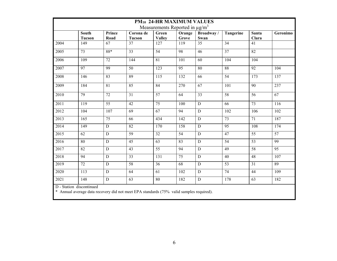| <b>PM10 24-HR MAXIMUM VALUES</b>                                                                                    |                               |                 |                            |                        |                                                 |                   |                 |                 |                 |
|---------------------------------------------------------------------------------------------------------------------|-------------------------------|-----------------|----------------------------|------------------------|-------------------------------------------------|-------------------|-----------------|-----------------|-----------------|
|                                                                                                                     |                               |                 |                            |                        | Measurements Reported in $\mu$ g/m <sup>3</sup> |                   |                 |                 |                 |
|                                                                                                                     | <b>South</b><br><b>Tucson</b> | Prince<br>Road  | Corona de<br><b>Tucson</b> | Green<br><b>Valley</b> | Orange<br>Grove                                 | Broadway/<br>Swan | Tangerine       | Santa<br>Clara  | Geronimo        |
| 2004                                                                                                                | 149                           | 67              | $\overline{37}$            | 127                    | 119                                             | $\overline{35}$   | 34              | 41              |                 |
| 2005                                                                                                                | 73                            | $88*$           | 33                         | 54                     | 98                                              | 46                | 37              | $\overline{82}$ |                 |
| 2006                                                                                                                | 109                           | $\overline{72}$ | 144                        | $\overline{81}$        | 101                                             | 60                | 104             | 104             |                 |
| 2007                                                                                                                | 97                            | 99              | $\overline{50}$            | $\overline{123}$       | 95                                              | 80                | 88              | $\overline{92}$ | 104             |
| 2008                                                                                                                | 146                           | 83              | 89                         | 115                    | 132                                             | 66                | 54              | 173             | 137             |
| 2009                                                                                                                | 184                           | 81              | 85                         | 84                     | 270                                             | 67                | 101             | 90              | 237             |
| 2010                                                                                                                | 79                            | 72              | 31                         | 57                     | 64                                              | 33                | 58              | 56              | $\overline{67}$ |
| 2011                                                                                                                | 119                           | 55              | 42                         | 75                     | 100                                             | ${\bf D}$         | 66              | 73              | 116             |
| 2012                                                                                                                | 104                           | 107             | 69                         | 67                     | 94                                              | $\overline{D}$    | 102             | 106             | 102             |
| 2013                                                                                                                | 165                           | 75              | 66                         | 434                    | 142                                             | $\mathbf D$       | 73              | 71              | 187             |
| 2014                                                                                                                | 149                           | $\mathbf D$     | 82                         | 170                    | 158                                             | D                 | 95              | 108             | 174             |
| 2015                                                                                                                | 62                            | $\overline{D}$  | 59                         | $\overline{32}$        | $\overline{54}$                                 | $\mathbf D$       | 47              | $\overline{55}$ | $\overline{57}$ |
| 2016                                                                                                                | 80                            | $\mathbf D$     | 45                         | 63                     | 83                                              | ${\bf D}$         | 54              | 53              | 99              |
| 2017                                                                                                                | 82                            | $\mathbf D$     | $\overline{43}$            | $\overline{55}$        | 94                                              | ${\bf D}$         | 49              | $\overline{58}$ | 95              |
| 2018                                                                                                                | 94                            | ${\bf D}$       | 33                         | 131                    | 75                                              | $\mathbf D$       | 40              | 48              | 107             |
| 2019                                                                                                                | $\overline{72}$               | $\mathbf D$     | 58                         | 36                     | $\overline{68}$                                 | $\overline{D}$    | $\overline{53}$ | $\overline{31}$ | $\overline{89}$ |
| 2020                                                                                                                | 113                           | $\mathbf D$     | 64                         | 61                     | 102                                             | ${\bf D}$         | 74              | 44              | 109             |
| 2021                                                                                                                | 148                           | D               | 63                         | 80                     | 182                                             | $\mathbf D$       | 178             | 63              | 182             |
| D - Station discontinued<br>* Annual average data recovery did not meet EPA standards (75% valid samples required). |                               |                 |                            |                        |                                                 |                   |                 |                 |                 |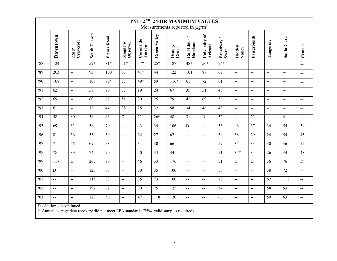|                  | PM <sub>10</sub> 2 <sup>ND</sup> 24-HR MAXIMUM VALUES<br>Measurements reported in $\mu$ g/m <sup>3</sup>            |                                               |                     |                 |                      |                     |                 |                  |                                               |                          |                   |                             |                          |                 |                                               |                                               |
|------------------|---------------------------------------------------------------------------------------------------------------------|-----------------------------------------------|---------------------|-----------------|----------------------|---------------------|-----------------|------------------|-----------------------------------------------|--------------------------|-------------------|-----------------------------|--------------------------|-----------------|-----------------------------------------------|-----------------------------------------------|
|                  |                                                                                                                     |                                               |                     |                 |                      |                     |                 |                  |                                               |                          |                   |                             |                          |                 |                                               |                                               |
|                  | Downtown                                                                                                            | Craycroft<br>22nd/                            | <b>South Tucson</b> | Prince Road     | Magnetic<br>Observe. | Corona de<br>Tucson | Green Valley    | Orange<br>Grove  | Golf Links /<br>Harrison                      | University of<br>Arizona | Broadway/<br>Swan | Hidden<br>Valley            | Fairgrounds              | Tangerine       | Santa Clara                                   | Central                                       |
| $\overline{88}$  | $\overline{124}$                                                                                                    | $\overline{a}$                                | $\sqrt{59*}$        | $81*$           | $\overline{51*}$     | $37*$               | $25*$           | 187              | $48*$                                         | $56*$                    | $76*$             | $\mathbf{u}$                | $\overline{a}$           | $\overline{a}$  | $\mathbf{L}$                                  | $\mathbf{u}$                                  |
| $\overline{89}$  | $\overline{203}$                                                                                                    | $\mathbf{L}$                                  | 93                  | 100             | 63                   | $41*$               | 44              | $\overline{122}$ | 101                                           | 88                       | 67                | $\mathcal{L}_{\mathcal{A}}$ | LL.                      | $\overline{a}$  | $\mathord{\hspace{1pt}\text{--}\hspace{1pt}}$ | $\mathord{\hspace{1pt}\text{--}\hspace{1pt}}$ |
| .90              | 108                                                                                                                 | $\overline{\phantom{a}}$                      | 108                 | $75*$           | 58                   | 49*                 | 59              | $116*$           | 61                                            | 72                       | 61                | $\sim$                      | $\overline{\phantom{a}}$ | $\overline{a}$  | $\overline{\phantom{a}}$                      | $\overline{\phantom{a}}$                      |
| $\overline{.91}$ | $\overline{62}$                                                                                                     | $\overline{a}$                                | 58                  | $\overline{70}$ | 38                   | $\overline{19}$     | 24              | 67               | $\overline{35}$                               | $\overline{51}$          | 43                | $\mathcal{L}_{\mathcal{A}}$ | ш.,                      | $\overline{a}$  | $\mathbf{L}$                                  | $\overline{\phantom{m}}$                      |
| $\overline{92}$  | 69                                                                                                                  | $\mathbf{L}$                                  | 60                  | 67              | 51                   | 30                  | 25              | 79               | 42                                            | 69                       | 56                | $\mathbf{L}$                | $\overline{a}$           | $\overline{a}$  | $\mathord{\hspace{1pt}\text{--}\hspace{1pt}}$ | $\overline{\phantom{a}}$                      |
| $\overline{93}$  | 61                                                                                                                  | $\mathcal{L} \mathcal{L}$                     | $\overline{73}$     | 44              | $\overline{38}$      | $\overline{25}$     | 32              | 58               | $\overline{34}$                               | 46                       | $\overline{43}$   | $\overline{\phantom{a}}$    | $\overline{\phantom{a}}$ | $\overline{a}$  | $\overline{a}$                                | $\overline{\phantom{a}}$                      |
| .94              | 58                                                                                                                  | 80                                            | 54                  | $\overline{46}$ | $\overline{D}$       | $\overline{21}$     | $26*$           | 48               | 31                                            | $\overline{D}$           | 52                | $\mathbf{u}$                | $\overline{23}$          | $\overline{a}$  | $\overline{41}$                               | $\overline{\phantom{a}}$                      |
| .95              | 69                                                                                                                  | 63                                            | 58                  | 70              | $\overline{a}$       | 43                  | 34              | 106              | ${\bf D}$                                     | $\overline{a}$           | 53                | 96                          | 37                       | 34              | 54                                            | 59                                            |
| $\overline{.96}$ | $\overline{81}$                                                                                                     | $\overline{36}$                               | $\overline{53}$     | $\overline{60}$ | LL.                  | $\overline{24}$     | $\overline{27}$ | 62               | $\mathbb{L}^{\mathbb{L}}$                     | $\mathbf{L}$             | 39                | 38                          | $\overline{29}$          | $\overline{24}$ | 54                                            | 45                                            |
| .97              | 71                                                                                                                  | 56                                            | 69                  | 58              | ш.,                  | $\overline{31}$     | 30              | 66               | $\mathbf{L}$                                  | $\overline{a}$           | 57                | $\overline{35}$             | 33                       | 30              | 46                                            | $\overline{52}$                               |
| <b>.98</b>       | 78                                                                                                                  | $\overline{39}$                               | 74                  | 70              | ÷.                   | 40                  | 33              | 44               | $\mathbf{L}$                                  | цц.                      | 51                | $34*$                       | 34                       | 26              | 44                                            | 48                                            |
| .99              | $\overline{117}$                                                                                                    | $\overline{D}$                                | 207                 | 80              | $\overline{a}$       | 46                  | $\overline{33}$ | $\overline{176}$ | $\mathbf{u}$                                  | $\overline{a}$           | $\overline{51}$   | $\overline{D}$              | ${\bf D}$                | 36              | $\overline{76}$                               | $\overline{D}$                                |
| $\overline{00}$  | ${\bf D}$                                                                                                           | $\mathbf{L}$                                  | 123                 | 68              | $\overline{a}$       | 50                  | 35              | 100              | $\mathbf{u}$                                  | $\overline{a}$           | $\overline{56}$   | $\mathcal{L}_{\mathcal{A}}$ | $\overline{a}$           | 38              | $\overline{72}$                               | $\overline{\phantom{a}}$                      |
| 01               | $\mathord{\hspace{1pt}\text{--}\hspace{1pt}}$                                                                       | $\mathbf{L}$                                  | 115                 | 83              | ш.,                  | 85                  | 73              | 100              | $\mathbf{u}$                                  | Ц.                       | 70                | $\mathbf{L}$                | ш.,                      | 62              | $\overline{111}$                              | $\overline{\phantom{a}}$                      |
| $\overline{02}$  | $\mathbf{u}$                                                                                                        | $\mathord{\hspace{1pt}\text{--}\hspace{1pt}}$ | 192                 | 62              | $\overline{a}$       | $\overline{30}$     | $\overline{75}$ | 125              | $\mathbf{u}$                                  | $\rightarrow$            | $\overline{54}$   | $\sim$                      | $\overline{a}$           | $\overline{58}$ | $\overline{53}$                               | $\overline{\phantom{a}}$                      |
| $\overline{03}$  | $\mathbf{L}$                                                                                                        | $\mathord{\hspace{1pt}\text{--}\hspace{1pt}}$ | 128                 | 56              | $\overline{a}$       | 47                  | 118             | 120              | $\mathord{\hspace{1pt}\text{--}\hspace{1pt}}$ | $\overline{\phantom{a}}$ | 66                | $\mathbf{H}$                | $\overline{\phantom{a}}$ | 50              | 63                                            | $\overline{\phantom{a}}$                      |
|                  | D - Station discontinued<br>* Annual average data recovery did not meet EPA standards (75% valid samples required). |                                               |                     |                 |                      |                     |                 |                  |                                               |                          |                   |                             |                          |                 |                                               |                                               |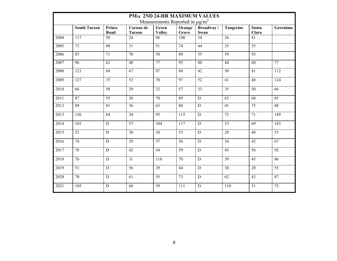|                   | PM <sub>10</sub> 2ND 24-HR MAXIMUM VALUES<br>Measurements Reported in $\mu$ g/m <sup>3</sup> |                 |                            |                        |                 |                   |                 |                       |                 |  |
|-------------------|----------------------------------------------------------------------------------------------|-----------------|----------------------------|------------------------|-----------------|-------------------|-----------------|-----------------------|-----------------|--|
|                   | <b>South Tucson</b>                                                                          | Prince<br>Road  | Corona de<br><b>Tucson</b> | Green<br><b>Valley</b> | Orange<br>Grove | Broadway/<br>Swan | Tangerine       | <b>Santa</b><br>Clara | Geronimo        |  |
| 2004              | 117                                                                                          | 50              | 24                         | 96                     | 100             | 34                | $\overline{26}$ | 41                    |                 |  |
| 2005              | 73                                                                                           | 88              | 31                         | 51                     | 74              | 44                | $\overline{35}$ | $\overline{55}$       |                 |  |
| 2006              | 85                                                                                           | $\overline{71}$ | $\overline{70}$            | $\overline{50}$        | 88              | $\overline{55}$   | $\overline{59}$ | 93                    |                 |  |
| 2007              | $\overline{96}$                                                                              | $\overline{62}$ | $\overline{48}$            | $\overline{77}$        | $\overline{95}$ | 80                | 44              | 60                    | $\overline{77}$ |  |
| 2008              | 121                                                                                          | 68              | 67                         | 97                     | 88              | 42                | 50              | $\overline{81}$       | 112             |  |
| 2009              | 127                                                                                          | 75              | 52                         | 78                     | 97              | 52                | 41              | 48                    | 124             |  |
| 2010              | 66                                                                                           | 58              | 29                         | 32                     | 57              | 33                | 35              | 50                    | 66              |  |
| 2011              | $\overline{87}$                                                                              | $\overline{55}$ | 38                         | $\overline{70}$        | 89              | $\overline{D}$    | 65              | 68                    | 85              |  |
| 2012              | 89                                                                                           | 81              | 36                         | 63                     | 88              | D                 | 41              | 75                    | 88              |  |
| $\overline{2013}$ | 156                                                                                          | $\overline{64}$ | 34                         | 95                     | 115             | $\mathbf D$       | 72              | $\overline{71}$       | 149             |  |
| 2014              | 101                                                                                          | $\mathbf D$     | 57                         | 104                    | 117             | $\mathbf D$       | $\overline{53}$ | 69                    | 143             |  |
| 2015              | 52                                                                                           | D               | 30                         | 30                     | 53              | D                 | 28              | 40                    | $\overline{53}$ |  |
| 2016              | $\overline{74}$                                                                              | $\overline{D}$  | $\overline{29}$            | $\overline{57}$        | 56              | D                 | $\overline{34}$ | $\overline{42}$       | $\overline{67}$ |  |
| 2017              | 78                                                                                           | $\mathbf D$     | 42                         | 54                     | 59              | $\mathbf D$       | $\overline{45}$ | $\overline{56}$       | 92              |  |
| 2018              | 76                                                                                           | D               | 31                         | 118                    | 70              | D                 | 39              | $\overline{45}$       | 86              |  |
| 2019              | $\overline{51}$                                                                              | $\overline{D}$  | 56                         | $\overline{29}$        | 44              | D                 | $\overline{38}$ | $\overline{28}$       | $\overline{55}$ |  |
| 2020              | 70                                                                                           | $\mathbf D$     | 61                         | 55                     | 73              | $\mathbf D$       | 62              | 43                    | 87              |  |
| 2021              | 105                                                                                          | $\mathbf D$     | 60                         | 59                     | 111             | $\mathbf D$       | 110             | 51                    | 75              |  |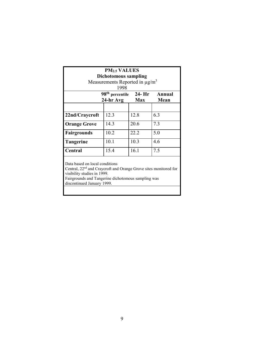| <b>PM<sub>2.5</sub> VALUES</b>                                                                                                                                                                                                    |                      |            |      |  |  |  |  |  |  |  |
|-----------------------------------------------------------------------------------------------------------------------------------------------------------------------------------------------------------------------------------|----------------------|------------|------|--|--|--|--|--|--|--|
|                                                                                                                                                                                                                                   | Dichotomous sampling |            |      |  |  |  |  |  |  |  |
| Measurements Reported in $\mu$ g/m <sup>3</sup>                                                                                                                                                                                   |                      |            |      |  |  |  |  |  |  |  |
| 1998                                                                                                                                                                                                                              |                      |            |      |  |  |  |  |  |  |  |
| 98 <sup>th</sup> percentile<br>$24 - Hr$<br>Annual                                                                                                                                                                                |                      |            |      |  |  |  |  |  |  |  |
|                                                                                                                                                                                                                                   | 24-hr Avg            | <b>Max</b> | Mean |  |  |  |  |  |  |  |
|                                                                                                                                                                                                                                   |                      |            |      |  |  |  |  |  |  |  |
| 22nd/Craycroft                                                                                                                                                                                                                    | 12.3                 | 12.8       | 6.3  |  |  |  |  |  |  |  |
| <b>Orange Grove</b>                                                                                                                                                                                                               | 14.3                 | 20.6       | 7.3  |  |  |  |  |  |  |  |
| Fairgrounds                                                                                                                                                                                                                       | 10.2                 | 22.2       | 5.0  |  |  |  |  |  |  |  |
| <b>Tangerine</b>                                                                                                                                                                                                                  | 10.1                 | 10.3       | 4.6  |  |  |  |  |  |  |  |
| Central                                                                                                                                                                                                                           | 15.4                 | 16.1       | 7.5  |  |  |  |  |  |  |  |
| Data based on local conditions<br>Central, 22 <sup>nd</sup> and Craycroft and Orange Grove sites monitored for<br>visibility studies in 1999.<br>Fairgrounds and Tangerine dichotomous sampling was<br>discontinued January 1999. |                      |            |      |  |  |  |  |  |  |  |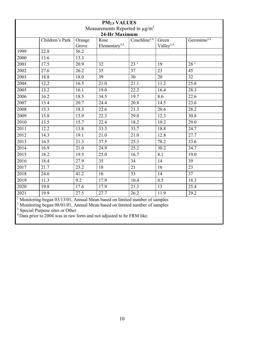| <b>PM2.5 VALUES</b> |                 |        |                                                 |                          |                       |                           |  |  |
|---------------------|-----------------|--------|-------------------------------------------------|--------------------------|-----------------------|---------------------------|--|--|
|                     |                 |        | Measurements Reported in $\mu$ g/m <sup>3</sup> |                          |                       |                           |  |  |
|                     |                 |        | 24-Hr Maximum                                   |                          |                       |                           |  |  |
|                     | Children's Park | Orange | Rose                                            | Coachline <sup>3,4</sup> | Green                 | Geronimo $3,\overline{4}$ |  |  |
|                     |                 | Grove  | Elementary <sup>3,4</sup>                       |                          | Valley <sup>3,4</sup> |                           |  |  |
| 1999                | 22.8            | 56.2   |                                                 |                          |                       |                           |  |  |
| 2000                | 13.6            | 13.3   |                                                 |                          |                       |                           |  |  |
| 2001                | 17.5            | 20.9   | 32                                              | 23 <sup>1</sup>          | 19                    | 28 <sup>2</sup>           |  |  |
| 2002                | 27.6            | 26.2   | 35                                              | $\overline{37}$          | 23                    | 45                        |  |  |
| 2003                | 18.8            | 18.0   | 39                                              | 30                       | 20                    | 32                        |  |  |
| 2004                | 12.2            | 16.5   | 21.0                                            | 21.1                     | 11.2                  | $\overline{25.8}$         |  |  |
| 2005                | 13.2            | 16.1   | 19.0                                            | 22.2                     | 16.4                  | 28.3                      |  |  |
| 2006                | 16.2            | 18.5   | 34.5                                            | 19.7                     | 8.6                   | 22.6                      |  |  |
| 2007                | 13.4            | 20.7   | 24.4                                            | 20.8                     | 14.5                  | 23.6                      |  |  |
| 2008                | 15.3            | 18.3   | 22.6                                            | 21.3                     | 20.6                  | 28.2                      |  |  |
| 2009                | 15.8            | 13.9   | 22.3                                            | 29.0                     | 12.3                  | 30.8                      |  |  |
| 2010                | 13.5            | 15.7   | 22.4                                            | 18.2                     | 10.2                  | 29.0                      |  |  |
| 2011                | 12.2            | 13.8   | 33.3                                            | 33.7                     | 18.8                  | 24.7                      |  |  |
| 2012                | 14.3            | 19.1   | 21.0                                            | 21.0                     | 12.8                  | 27.7                      |  |  |
| 2013                | 16.5            | 21.3   | 37.5                                            | 25.3                     | 78.2                  | 33.6                      |  |  |
| 2014                | 16.9            | 21.0   | 24.9                                            | 25.2                     | 30.2                  | 34.7                      |  |  |
| 2015                | 18.2            | 19.5   | 25.0                                            | 16.7                     | 8.1                   | 19.0                      |  |  |
| 2016                | 18.4            | 27.9   | 35                                              | 34                       | 14                    | 39                        |  |  |
| 2017                | 21.7            | 23.2   | 18                                              | 21                       | 16                    | 23                        |  |  |
| 2018                | 24.6            | 41.2   | 16                                              | 33                       | 14                    | 37                        |  |  |
| 2019                | 11.3            | 9.2    | 17.9                                            | 10.4                     | 8.5                   | 18.3                      |  |  |
| 2020                | 19.8            | 17.6   | 17.9                                            | 21.3                     | 13                    | 25.4                      |  |  |
| 2021                | 19.9            | 27.5   | 27.7                                            | 26.2                     | 11.9                  | $\overline{29.2}$         |  |  |

<sup>1</sup> Monitoring began 03/13/01, Annual Mean based on limited number of samples

Monitoring began 08/01/01, Annual Mean based on limited number of samples

<sup>3</sup> Special Purpose sites or Other

<sup>4</sup> Data prior to 2004 was in raw form and not adjusted to be FRM like.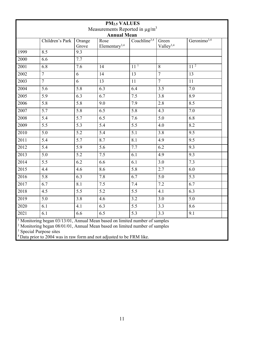| <b>PM2.5 VALUES</b><br>Measurements Reported in $\mu$ g/m <sup>3</sup> |                  |                  |                                   |                          |                       |                         |  |  |
|------------------------------------------------------------------------|------------------|------------------|-----------------------------------|--------------------------|-----------------------|-------------------------|--|--|
|                                                                        |                  |                  | <b>Annual Mean</b>                |                          |                       |                         |  |  |
|                                                                        | Children's Park  | Orange<br>Grove  | Rose<br>Elementary <sup>3,4</sup> | Coachline <sup>3,4</sup> | Green<br>Valley $3,4$ | Geronimo <sup>3,4</sup> |  |  |
| 1999                                                                   | 8.5              | $\overline{9.3}$ |                                   |                          |                       |                         |  |  |
| 2000                                                                   | 6.6              | 7.7              |                                   |                          |                       |                         |  |  |
| 2001                                                                   | 6.8              | $\overline{7.6}$ | 14                                | 11 <sup>1</sup>          | 8                     | 11 <sup>2</sup>         |  |  |
| 2002                                                                   | $\overline{7}$   | $\overline{6}$   | $\overline{14}$                   | $\overline{13}$          | $\overline{7}$        | $\overline{13}$         |  |  |
| 2003                                                                   | $\overline{7}$   | 6                | 13                                | 11                       | $\overline{7}$        | 11                      |  |  |
| 2004                                                                   | 5.6              | 5.8              | 6.3                               | 6.4                      | $\overline{3.5}$      | 7.0                     |  |  |
| 2005                                                                   | 5.9              | 6.3              | 6.7                               | 7.5                      | 3.8                   | 8.9                     |  |  |
| 2006                                                                   | $\overline{5.8}$ | $\overline{5.8}$ | 9.0                               | 7.9                      | 2.8                   | 8.5                     |  |  |
| 2007                                                                   | $\overline{5.7}$ | $\overline{5.8}$ | $\overline{6.5}$                  | $\overline{5.8}$         | 4.3                   | 7.0                     |  |  |
| 2008                                                                   | $\overline{5.4}$ | 5.7              | 6.5                               | 7.6                      | 5.0                   | 6.8                     |  |  |
| 2009                                                                   | $\overline{5.5}$ | $\overline{5.3}$ | $\overline{5.4}$                  | $\overline{5.5}$         | 4.0                   | 8.2                     |  |  |
| $\overline{2010}$                                                      | $\overline{5.0}$ | $\overline{5.2}$ | $\overline{5.4}$                  | $\overline{5}.1$         | 3.8                   | 9.5                     |  |  |
| 2011                                                                   | $\overline{5.4}$ | 5.7              | 8.7                               | $\overline{8.1}$         | 4.9                   | 9.5                     |  |  |
| 2012                                                                   | 5.4              | $\overline{5.9}$ | $\overline{5.6}$                  | 7.7                      | $\overline{6.2}$      | 9.3                     |  |  |
| $\overline{2013}$                                                      | 5.0              | $\overline{5.2}$ | $\overline{7.5}$                  | 6.1                      | 4.9                   | 9.3                     |  |  |
| 2014                                                                   | $\overline{5.5}$ | $\overline{6.2}$ | 6.6                               | $\overline{6.1}$         | $\overline{3.0}$      | 7.3                     |  |  |
| 2015                                                                   | 4.4              | $\overline{4.6}$ | 8.6                               | $\overline{5.8}$         | 2.7                   | 6.0                     |  |  |
| 2016                                                                   | $\overline{5.8}$ | 6.3              | 7.8                               | $\overline{6.7}$         | 5.0                   | 5.3                     |  |  |
| 2017                                                                   | 6.7              | $\overline{8.1}$ | 7.5                               | 7.4                      | 7.2                   | 6.7                     |  |  |
| 2018                                                                   | 4.5              | $\overline{5.5}$ | 5.2                               | $\overline{5.5}$         | 4.1                   | 6.3                     |  |  |
| 2019                                                                   | $\overline{5.0}$ | $\overline{3.8}$ | $\overline{4.6}$                  | $\overline{3.2}$         | $\overline{3.0}$      | 5.0                     |  |  |
| 2020                                                                   | $\overline{6.1}$ | $\overline{4.1}$ | 6.3                               | $\overline{5.5}$         | 3.3                   | 8.6                     |  |  |
| 2021<br>$1 + r$<br>$\sim$ $\sim$                                       | 6.1              | 6.6              | 6.5<br>$\overline{a}$             | 5.3                      | 3.3                   | 9.1                     |  |  |

<sup>1</sup> Monitoring began 03/13/01, Annual Mean based on limited number of samples

Monitoring began 08/01/01, Annual Mean based on limited number of samples

<sup>3</sup> Special Purpose sites

<sup>4</sup> Data prior to 2004 was in raw form and not adjusted to be FRM like.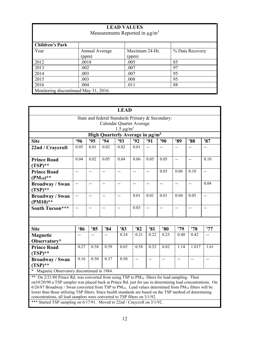| <b>LEAD VALUES</b><br>Measurements Reported in $\mu$ g/m <sup>3</sup> |                |                |                 |  |  |  |  |  |  |
|-----------------------------------------------------------------------|----------------|----------------|-----------------|--|--|--|--|--|--|
| <b>Children's Park</b>                                                |                |                |                 |  |  |  |  |  |  |
| Year                                                                  | Annual Average | Maximum 24-Hr. | % Data Recovery |  |  |  |  |  |  |
|                                                                       | (ppm)          | (ppm)          |                 |  |  |  |  |  |  |
| 2012                                                                  | .0018          | .005           | 85              |  |  |  |  |  |  |
| 2013                                                                  | .002           | .007           | 97              |  |  |  |  |  |  |
| 2014                                                                  | .003           | .007           | 95              |  |  |  |  |  |  |
| 2015                                                                  | .003           | .008           | 95              |  |  |  |  |  |  |
| 2016<br>88<br>.004<br>.011                                            |                |                |                 |  |  |  |  |  |  |
| Monitoring discontinued May 31, 2016.                                 |                |                |                 |  |  |  |  |  |  |

| <b>LEAD</b>                                                                                                                                                                                                                                                                                                                                                |                |                          |                |                |                |                                               |                |      |                |                |
|------------------------------------------------------------------------------------------------------------------------------------------------------------------------------------------------------------------------------------------------------------------------------------------------------------------------------------------------------------|----------------|--------------------------|----------------|----------------|----------------|-----------------------------------------------|----------------|------|----------------|----------------|
| State and federal Standards Primary & Secondary:<br>Calendar Quarter Average                                                                                                                                                                                                                                                                               |                |                          |                |                |                |                                               |                |      |                |                |
| $1.5 \mu g/m^3$                                                                                                                                                                                                                                                                                                                                            |                |                          |                |                |                |                                               |                |      |                |                |
| High Quarterly Average in µg/m <sup>3</sup>                                                                                                                                                                                                                                                                                                                |                |                          |                |                |                |                                               |                |      |                |                |
| <b>Site</b>                                                                                                                                                                                                                                                                                                                                                | <b>.96</b>     | '95                      | 94             | '93            | '92            | '91                                           | '90            | '89  | '88            | '87            |
| 22nd / Craycroft                                                                                                                                                                                                                                                                                                                                           | 0.05           | 0.01                     | 0.02           | 0.02           | 0.01           | $\overline{a}$                                | $\overline{a}$ | $-$  |                | $-$            |
| <b>Prince Road</b><br>$(TSP)$ **                                                                                                                                                                                                                                                                                                                           | 0.04           | 0.02                     | 0.05           | 0.04           | 0.06           | 0.05                                          | 0.05           | --   | $\overline{a}$ | 0.10           |
| <b>Prince Road</b><br>$(PM_{10})$ **                                                                                                                                                                                                                                                                                                                       | $-$            | $\overline{\phantom{a}}$ | $\overline{a}$ | --             | $\overline{a}$ | $\mathord{\hspace{1pt}\text{--}\hspace{1pt}}$ | 0.03           | 0.06 | 0.10           | $-$            |
| <b>Broadway / Swan</b><br>$(TSP)$ **                                                                                                                                                                                                                                                                                                                       | $\overline{a}$ | $\overline{a}$           | $-$            | $-$            | $-$            | $\mathord{\hspace{1pt}\text{--}\hspace{1pt}}$ | $-$            | $-$  | $\overline{a}$ | 0.04           |
| <b>Broadway / Swan</b><br>$(PM10)**$                                                                                                                                                                                                                                                                                                                       | $\overline{a}$ | $-$                      | $\overline{a}$ | $\overline{a}$ | 0.01           | 0.01                                          | 0.01           | 0.04 | 0.05           | $\overline{a}$ |
| South Tucson***                                                                                                                                                                                                                                                                                                                                            | --             | $-$                      | $\overline{a}$ | $-$            | 0.03           | $\frac{1}{2}$                                 | $-$            | --   | $-$            | $-$            |
|                                                                                                                                                                                                                                                                                                                                                            |                |                          |                |                |                |                                               |                |      |                |                |
| <b>Site</b>                                                                                                                                                                                                                                                                                                                                                | <b>86</b>      | '85                      | '84            | '83            | '82            | '81                                           | '80            | '79  | '78            | '77            |
| <b>Magnetic</b><br>Observatory*                                                                                                                                                                                                                                                                                                                            | --             |                          |                | 0.24           | 0.21           | 0.22                                          | 0.23           | 0.40 | 0.42           | $-$            |
| <b>Prince Road</b><br>$(TSP)$ **                                                                                                                                                                                                                                                                                                                           | 0.27           | 0.58                     | 0.59           | 0.65           | 0.58           | 0.52                                          | 0.82           | 1.14 | 1.017          | 1.61           |
| 0.16<br>0.50<br>0.37<br>0.50<br><u></u><br><b>Broadway / Swan</b><br>$\overline{\phantom{a}}$<br>$\overline{a}$<br>$-$<br>$-$<br>$\mathbf{--}$<br>$(TSP)$ **                                                                                                                                                                                               |                |                          |                |                |                |                                               |                |      |                |                |
| * Magnetic Observatory discontinued in 1984.                                                                                                                                                                                                                                                                                                               |                |                          |                |                |                |                                               |                |      |                |                |
| ** On 2/21/88 Prince Rd. was converted from using TSP to PM <sub>10</sub> filters for lead sampling. Then<br>on10/20/90 a TSP sampler was placed back at Prince Rd. just for use in determining lead concentrations. On<br>$6/26/87$ Broadway / Swan converted from TSP to PM <sub>10</sub> . Lead values determined from PM <sub>10</sub> filters will be |                |                          |                |                |                |                                               |                |      |                |                |

lower than those utilizing TSP filters. Since health standards are based on the TSP method of determining concentrations, all lead samplers were converted to TSP filters on 3/1/92.

\*\*\* Started TSP sampling on 6/17/91. Moved to 22nd / Craycroft on 3/1/92.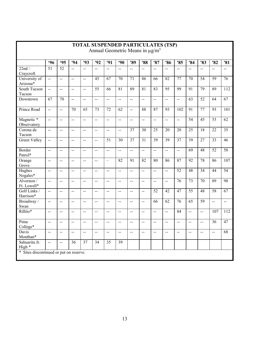| Annual Geometric Means in $\mu$ g/m <sup>3</sup> |                          |                          |                 |                 |                          |                          |                 |                          |                 |                 |                          |                      |                 |                 |                          |                 |
|--------------------------------------------------|--------------------------|--------------------------|-----------------|-----------------|--------------------------|--------------------------|-----------------|--------------------------|-----------------|-----------------|--------------------------|----------------------|-----------------|-----------------|--------------------------|-----------------|
|                                                  | .96                      | <b>.95</b>               | '94             | '93             | '92                      | '91                      | '90             | '89                      | '88             | '87             | '86                      | '85                  | '84             | '83             | '82                      | '81             |
| 22nd/<br>Craycroft                               | $\overline{51}$          | 52                       | $\overline{a}$  | $\overline{a}$  | $\overline{a}$           | $\overline{a}$           | $\overline{a}$  | $\overline{a}$           | $\overline{a}$  | $\overline{a}$  | $\sim$                   | $\ddot{\phantom{a}}$ | u.              | $\overline{a}$  | $\overline{a}$           | $\sim$          |
| University of<br>Arizona*                        | $\ddot{\phantom{a}}$     | $\overline{a}$           | $\sim$          | Ц.              | 45                       | 67                       | $\overline{70}$ | 71                       | 86              | 66              | $\overline{82}$          | $\overline{77}$      | $\overline{70}$ | $\overline{54}$ | $\overline{59}$          | 76              |
| South Tucson<br>Tucson                           | --                       | --                       | --              | $-$             | $\overline{55}$          | $\overline{66}$          | 81              | 89                       | 81              | 83              | 95                       | 99                   | 91              | 79              | 89                       | 112             |
| Downtown                                         | 67                       | 70                       | $\mathbf{L}$    | $-$             | $\overline{a}$           | $\overline{a}$           | $\overline{a}$  | $\overline{a}$           | $\overline{a}$  | $\ddotsc$       | $\overline{a}$           | $\ddotsc$            | 63              | $\overline{52}$ | 64                       | 67              |
| Prince Road                                      | $\overline{a}$           | $\overline{a}$           | $\overline{70}$ | $\overline{65}$ | $\overline{73}$          | $\overline{72}$          | $\overline{62}$ | $\overline{\phantom{a}}$ | 88              | 87              | $\overline{93}$          | 102                  | 91              | 77              | 93                       | 101             |
| Magnetic *<br>Observatory                        | $\overline{a}$           | $\overline{a}$           | $\overline{a}$  | $\overline{a}$  | $\overline{a}$           | $\overline{a}$           | $\overline{a}$  | $\overline{a}$           | $\overline{a}$  | $\overline{a}$  | $\overline{a}$           | $\overline{a}$       | 54              | $\overline{45}$ | $\overline{53}$          | $\overline{62}$ |
| Corona de<br>Tucson                              | $\overline{a}$           | $\overline{a}$           | $\overline{a}$  | $\overline{a}$  | $\overline{a}$           | $\overline{a}$           | $\sim$ $\sim$   | $\overline{37}$          | $\overline{30}$ | $\overline{25}$ | $\overline{20}$          | $\overline{20}$      | $\overline{25}$ | $\overline{18}$ | $\overline{22}$          | 35              |
| Green Valley                                     | $\mathbf{u}$             | $\overline{\phantom{a}}$ | --              | $-$             | $-$                      | $\overline{51}$          | 30              | $\overline{37}$          | $\overline{31}$ | 39              | $\overline{39}$          | $\overline{37}$      | $\overline{39}$ | $\overline{27}$ | $\overline{33}$          | 46              |
| Border<br>Patrol*                                | $\overline{a}$           | $\overline{\phantom{a}}$ | $\overline{a}$  | $\overline{a}$  | $-$                      | $\overline{a}$           | $\overline{a}$  | $\overline{a}$           | $\overline{a}$  | $\overline{a}$  | $\overline{a}$           | $\overline{a}$       | $\overline{69}$ | 48              | 52                       | 58              |
| Orange<br>Grove                                  | --                       | $\overline{\phantom{a}}$ | --              | $-$             | $\overline{a}$           | $\overline{\phantom{0}}$ | $\overline{82}$ | $\overline{91}$          | $\overline{82}$ | 80              | 86                       | 87                   | $\overline{92}$ | 78              | 86                       | 107             |
| Hughes<br>Nogales*                               | $\overline{a}$           | $\overline{a}$           | $-$             | $-$             | $-$                      | $-$                      | $\overline{a}$  | $\overline{a}$           | $\overline{a}$  | $\overline{a}$  | $\overline{a}$           | 52                   | 48              | 34              | 44                       | 54              |
| Alvernon /<br>Ft. Lowell*                        | $\mathbf{L}$             | $\overline{\phantom{a}}$ | $\overline{a}$  | $\overline{a}$  | $\ddotsc$                | $\overline{a}$           | $\sim$          | $\overline{a}$           | $\overline{a}$  | $\ddotsc$       | $\ddotsc$                | $\overline{76}$      | $\overline{73}$ | $\overline{70}$ | 89                       | 98              |
| Golf Links /<br>Harrison*                        | $\overline{\phantom{a}}$ | $\overline{\phantom{a}}$ | $-$             | $-$             | $-$                      | $-$                      | $\overline{a}$  | $\overline{a}$           | $\overline{a}$  | $\overline{52}$ | 42                       | 47                   | $\overline{55}$ | 48              | 58                       | 67              |
| Broadway /<br>Swan                               | $\mathbf{L}$             | $\overline{a}$           | --              | $\overline{a}$  | $\overline{a}$           | $-$                      | $\overline{a}$  | $\overline{a}$           | $\overline{a}$  | $\overline{66}$ | $\overline{62}$          | $\overline{76}$      | $\overline{65}$ | $\overline{59}$ | $\ddotsc$                | $\ddotsc$       |
| Rillito*                                         | $\overline{a}$           | $\overline{a}$           | $-$             | $-$             | $-$                      | $\overline{a}$           | $\overline{a}$  | $\overline{a}$           | $\overline{a}$  | $\overline{a}$  | $\overline{\phantom{a}}$ | 84                   | $\overline{a}$  | $\overline{a}$  | 107                      | 112             |
| Pima<br>College*                                 | $\overline{a}$           | $\overline{a}$           | $\overline{a}$  | $\overline{a}$  | $\overline{a}$           | $\overline{a}$           | $\mathbf{L}$    | $\overline{a}$           | $\overline{a}$  | $\overline{a}$  | $\mathbf{L}$             | $\mathbf{L}$         | $\overline{a}$  | $\overline{a}$  | $\overline{36}$          | 47              |
| Davis<br>Monthan*                                | $\mathbf{L}$             | $\overline{a}$           | $\overline{a}$  | $\rightarrow$   | $\overline{\phantom{a}}$ | $\rightarrow$            | $\sim$ $\sim$   | $\overline{\phantom{a}}$ | $\overline{a}$  | $\rightarrow$   | $\overline{\phantom{a}}$ | $\overline{a}$       | $-$             | $\overline{a}$  | $\overline{\phantom{a}}$ | 68              |
| Sahuarita Jr.<br>High *                          | $\overline{a}$           | $\overline{\phantom{a}}$ | $\overline{36}$ | 37              | 34                       | $\overline{35}$          | $\overline{39}$ |                          |                 |                 |                          |                      |                 |                 |                          |                 |
| * Sites discontinued or put on reserve.          |                          |                          |                 |                 |                          |                          |                 |                          |                 |                 |                          |                      |                 |                 |                          |                 |

## **TOTAL SUSPENDED PARTICULATES (TSP)**

Г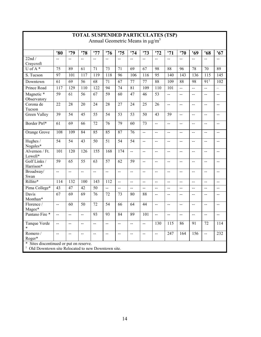| Annual Geometric Means in $\mu$ g/m <sup>3</sup>                                                             |                          |                 |                 |                  |                 |                          |                          |                 |                 |                 |                  |                 |                          |                                               |
|--------------------------------------------------------------------------------------------------------------|--------------------------|-----------------|-----------------|------------------|-----------------|--------------------------|--------------------------|-----------------|-----------------|-----------------|------------------|-----------------|--------------------------|-----------------------------------------------|
|                                                                                                              | '80                      | '79             | '78             | '77              | '76             | '75                      | '74                      | '73             | '72             | '71             | '70              | '69             | '68                      | '67                                           |
| $22\overline{nd}$ /<br>Craycroft                                                                             | $-$                      | $-$             | $\overline{a}$  | $\overline{a}$   | $-$             | $\overline{a}$           | $\rightarrow$            | $\overline{a}$  | $\overline{a}$  | $\overline{a}$  | $\overline{a}$   | 44              | $-$                      | $\overline{a}$                                |
| $U$ of A*                                                                                                    | 75                       | $\overline{89}$ | 61              | 71               | 73              | 71                       | $\overline{69}$          | 67              | 98              | 88              | 96               | 78              | 70                       | $\overline{89}$                               |
| S. Tucson                                                                                                    | $\overline{97}$          | 101             | 117             | $\overline{119}$ | 118             | $\overline{96}$          | 106                      | 116             | 95              | 140             | $\overline{143}$ | 136             | $\overline{115}$         | $\overline{145}$                              |
| Downtown                                                                                                     | 61                       | 69              | 56              | 68               | 71              | 67                       | 77                       | 77              | 88              | 109             | 88               | 98              | 91 <sup>1</sup>          | 102                                           |
| Prince Road                                                                                                  | 117                      | 129             | 110             | 122              | 94              | 74                       | 81                       | 109             | 110             | 101             | $\mathbf{u}$     | $-$             | $-$                      | $\overline{\phantom{0}}$                      |
| Magnetic *<br>Observatory                                                                                    | $\overline{59}$          | $\overline{61}$ | $\overline{56}$ | 67               | $\overline{59}$ | $\overline{60}$          | $\overline{47}$          | $\overline{46}$ | $\overline{53}$ | $\overline{a}$  | $-$              | $-$             | $\overline{a}$           | $-$                                           |
| Corona de<br>Tucson                                                                                          | 22                       | 28              | 20              | 24               | 28              | 27                       | 24                       | 25              | 26              | <u>.,</u>       | $\overline{a}$   | $\overline{a}$  | $-$                      | $\overline{a}$                                |
| Green Valley                                                                                                 | $\overline{39}$          | $\overline{54}$ | $\overline{45}$ | $\overline{55}$  | $\overline{54}$ | $\overline{53}$          | $\overline{53}$          | $\overline{50}$ | $\overline{43}$ | $\overline{59}$ | $\overline{a}$   | $\overline{a}$  | $-$                      | $\overline{a}$                                |
| Border Ptrl*                                                                                                 | 61                       | 69              | 66              | 72               | 76              | 79                       | 60                       | 73              | $\overline{a}$  | <u>.,</u>       | $-$              | $-$             | $\overline{a}$           | $\overline{a}$                                |
| Orange Grove                                                                                                 | 108                      | 109             | 84              | 85               | $\overline{85}$ | $\overline{87}$          | 76                       | $\overline{a}$  | $\overline{a}$  | $-$             | $-$              | $-$             | $\overline{a}$           | $\overline{\phantom{a}}$                      |
| Hughes /<br>Nogales*                                                                                         | $\overline{54}$          | $\overline{54}$ | $\overline{43}$ | $\overline{50}$  | $\overline{51}$ | $\overline{54}$          | $\overline{54}$          | $\overline{a}$  | $\sim$          | $\overline{a}$  | $\overline{a}$   | $-$             | $-$                      | $-$                                           |
| Alvernon / Ft.<br>Lowell*                                                                                    | 101                      | 120             | 126             | 155              | 168             | 174                      | $\overline{\phantom{a}}$ | $\mathbf{L}$    | $\overline{a}$  | $\overline{a}$  | $\overline{a}$   | $\overline{a}$  | $\overline{a}$           | $\mathord{\hspace{1pt}\text{--}\hspace{1pt}}$ |
| Golf Links /<br>Harrison*                                                                                    | $\overline{59}$          | 65              | $\overline{55}$ | $\overline{63}$  | 57              | $\overline{62}$          | $\overline{59}$          | $\overline{a}$  | $-$             | $-$             | $-$              | $-$             | $-$                      | $\overline{\phantom{a}}$                      |
| Broadway/<br>Swan                                                                                            | $\overline{\phantom{a}}$ | $\overline{a}$  | $\overline{a}$  | <u></u>          | $\overline{a}$  | $\overline{a}$           | $\overline{a}$           | $\overline{a}$  | $\mathbf{u}$    | $\overline{a}$  | $\overline{a}$   | $\overline{a}$  | $\overline{a}$           | $\overline{a}$                                |
| Rillito*                                                                                                     | 114                      | 132             | 100             | 143              | 112             | $\ddot{\phantom{a}}$     | $\overline{a}$           | $\overline{a}$  | $\overline{a}$  | --              | $-$              | $\overline{a}$  | $\overline{a}$           | $\overline{a}$                                |
| Pima College*                                                                                                | 43                       | $\overline{47}$ | $\overline{42}$ | $\overline{50}$  | $\ddotsc$       | $\overline{a}$           | $\overline{a}$           | $\overline{a}$  | $\overline{a}$  | $-$             | $\overline{a}$   | $\overline{a}$  | $\overline{\phantom{a}}$ | $\mathbf{L}$                                  |
| Davis<br>Monthan*                                                                                            | 67                       | $\overline{69}$ | 69              | $\overline{76}$  | 72              | 73                       | 80                       | 88              | $\overline{a}$  | --              | $\overline{a}$   | $-$             | $-$                      | $\mathord{\hspace{1pt}\text{--}\hspace{1pt}}$ |
| Florence /<br>Magee*                                                                                         | $\overline{a}$           | $\overline{60}$ | $\overline{50}$ | $\overline{72}$  | $\overline{54}$ | $\overline{66}$          | $\overline{64}$          | 44              | $\sim$          | $-$             | $-$              | $-$             | $-$                      | $\overline{a}$                                |
| Pantano Fire *                                                                                               | $\overline{a}$           | $\overline{a}$  | $\rightarrow$   | 93               | 93              | 84                       | 89                       | 101             | $\sim$ $\sim$   | $\overline{a}$  | $\overline{a}$   | $-$             | $\overline{a}$           | $\overline{a}$                                |
| Tanque Verde<br>$\ast$                                                                                       | $\rightarrow$            | $-$             | $-$             | --               | $-$             | $\overline{\phantom{a}}$ | $\overline{a}$           | $\overline{a}$  | 130             | 115             | 86               | $\overline{91}$ | 72                       | 114                                           |
| Romero /<br>Roger*                                                                                           | $\overline{\phantom{a}}$ | $-$             | $-$             | $-$              | $\overline{a}$  | $-$                      | $\overline{a}$           | $\overline{a}$  | $\overline{a}$  | 247             | 164              | 156             | $\overline{\phantom{a}}$ | 232                                           |
| *<br>Sites discontinued or put on reserve.<br><sup>1</sup> Old Downtown site Relocated to new Downtown site. |                          |                 |                 |                  |                 |                          |                          |                 |                 |                 |                  |                 |                          |                                               |

## **TOTAL SUSPENDED PARTICULATES (TSP)**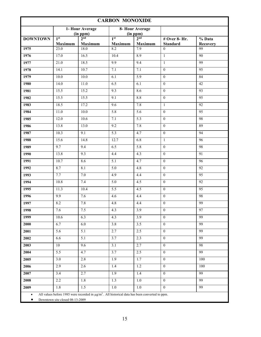| <b>CARBON MONOXIDE</b> |                                   |                                                                                                      |                                   |                                   |                                    |                           |  |  |
|------------------------|-----------------------------------|------------------------------------------------------------------------------------------------------|-----------------------------------|-----------------------------------|------------------------------------|---------------------------|--|--|
|                        |                                   | 1- Hour Average                                                                                      |                                   | 8- Hour Average<br>(in ppm)       |                                    |                           |  |  |
| <b>DOWNTOWN</b>        | 1 <sup>st</sup><br><b>Maximum</b> | $\frac{(\text{in ppm})}{2^{\text{nd}}}$<br><b>Maximum</b>                                            | 1 <sup>st</sup><br><b>Maximum</b> | 2 <sub>nd</sub><br><b>Maximum</b> | $#$ Over 8- Hr.<br><b>Standard</b> | % Data<br><b>Recovery</b> |  |  |
| 1975                   | $\overline{23.0}$                 | 18.0                                                                                                 | 8.2                               | 7.9                               | $\theta$                           | 99                        |  |  |
| 1976                   | 17.0                              | 16.5                                                                                                 | 10.4                              | 8.9                               | $\mathbf{1}$                       | 90                        |  |  |
| 1977                   | $\overline{21.0}$                 | 18.5                                                                                                 | 9.9                               | 9.4                               | $\mathbf{1}$                       | 99                        |  |  |
| 1978                   | 14.1                              | 10.7                                                                                                 | 7.1                               | 7.1                               | $\mathbf{0}$                       | $\overline{95}$           |  |  |
| 1979                   | 10.0                              | 10.0                                                                                                 | 6.1                               | $\overline{5.9}$                  | $\mathbf{0}$                       | 84                        |  |  |
| 1980                   | 14.0                              | 11.0                                                                                                 | 6.5                               | 6.1                               | $\mathbf{0}$                       | 42                        |  |  |
| 1981                   | 15.5                              | 15.2                                                                                                 | 9.3                               | 8.6                               | $\overline{0}$                     | 93                        |  |  |
| 1982                   | 15.5                              | 15.5                                                                                                 | 9.1                               | 8.8                               | $\mathbf{0}$                       | $\overline{95}$           |  |  |
| 1983                   | 18.5                              | 17.2                                                                                                 | $\overline{9.6}$                  | 7.8                               | $\mathbf{1}$                       | $\overline{92}$           |  |  |
| 1984                   | 11.0                              | 10.0                                                                                                 | $\overline{5.8}$                  | $\overline{5.6}$                  | $\mathbf{0}$                       | $\overline{95}$           |  |  |
| 1985                   | 12.0                              | 10.6                                                                                                 | 7.1                               | 5.3                               | $\overline{0}$                     | 98                        |  |  |
| 1986                   | 13.8                              | 13.0                                                                                                 | 9.2                               | 7.8                               | $\mathbf{0}$                       | 89                        |  |  |
| 1987                   | 10.3                              | 9.1                                                                                                  | $\overline{5.3}$                  | 4.7                               | $\mathbf{0}$                       | 94                        |  |  |
| 1988                   | 15.6                              | 14.8                                                                                                 | 12.7                              | 6.8                               | $\mathbf{1}$                       | 96                        |  |  |
| 1989                   | 9.7                               | 9.4                                                                                                  | 6.5                               | 5.8                               | $\boldsymbol{0}$                   | 98                        |  |  |
| 1990                   | 13.8                              | 9.3                                                                                                  | 4.4                               | 4.3                               | $\mathbf{0}$                       | $\overline{91}$           |  |  |
| 1991                   | 10.7                              | 8.6                                                                                                  | $\overline{5.1}$                  | 4.7                               | $\theta$                           | 96                        |  |  |
| 1992                   | 8.7                               | 8.1                                                                                                  | $\overline{5.0}$                  | 4.8                               | $\mathbf{0}$                       | $\overline{92}$           |  |  |
| 1993                   | 7.7                               | 7.0                                                                                                  | 4.9                               | 4.4                               | $\mathbf{0}$                       | $\overline{95}$           |  |  |
| 1994                   | 10.8                              | 7.4                                                                                                  | 5.0                               | 4.5                               | $\mathbf{0}$                       | 92                        |  |  |
| 1995                   | 11.3                              | 10.4                                                                                                 | $\overline{5.5}$                  | 4.5                               | $\mathbf{0}$                       | $\overline{95}$           |  |  |
| 1996                   | 9.9                               | 7.6                                                                                                  | 4.6                               | 4.4                               | $\mathbf{0}$                       | 98                        |  |  |
| 1997                   | 8.2                               | 7.8                                                                                                  | 4.8                               | 4.4                               | $\boldsymbol{0}$                   | 99                        |  |  |
| 1998                   | 7.6                               | 7.5                                                                                                  | 4.3                               | 3.9                               | $\overline{0}$                     | 97                        |  |  |
| 1999                   | 10.6                              | 6.3                                                                                                  | 4.3                               | 3.9                               | $\theta$                           | 99                        |  |  |
| 2000                   | 6.7                               | 6.0                                                                                                  | 3.8                               | 3.5                               | $\theta$                           | 99                        |  |  |
| 2001                   | 5.6                               | 5.1                                                                                                  | 2.7                               | 2.5                               | $\overline{0}$                     | 99                        |  |  |
| 2002                   | 6.6                               | 5.1                                                                                                  | 3.7                               | 2.3                               | $\overline{0}$                     | 99                        |  |  |
| 2003                   | 10                                | 9.6                                                                                                  | 3.1                               | 2.7                               | $\theta$                           | 98                        |  |  |
| 2004                   | 5.5                               | 4.7                                                                                                  | 3.7                               | 2.5                               | $\mathbf{0}$                       | 99                        |  |  |
| 2005                   | $\overline{3.0}$                  | 2.8                                                                                                  | 1.9                               | 1.7                               | $\overline{0}$                     | 100                       |  |  |
| 2006                   | 2.9                               | 2.6                                                                                                  | 1.4                               | 1.2                               | $\overline{0}$                     | 100                       |  |  |
| 2007                   | 3.4                               | 2.7                                                                                                  | $\overline{1.9}$                  | 1.4                               | $\theta$                           | 99                        |  |  |
| 2008                   | 2.2                               | 1.8                                                                                                  | 1.3                               | $1.0\,$                           | $\theta$                           | 99                        |  |  |
| 2009                   | $1.8\,$                           | 1.5                                                                                                  | $1.0\,$                           | $1.0\,$                           | $\theta$                           | 99                        |  |  |
| $\bullet$              | Downtown site closed 08-13-2009   | All values before 1985 were recorded in $\mu g/m^3$ . All historical data has been converted to ppm. |                                   |                                   |                                    |                           |  |  |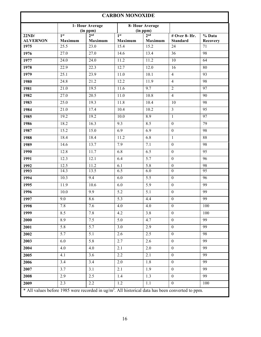| <b>CARBON MONOXIDE</b>                                                                                       |                                   |                                   |                                   |                                   |                                  |                                           |  |  |
|--------------------------------------------------------------------------------------------------------------|-----------------------------------|-----------------------------------|-----------------------------------|-----------------------------------|----------------------------------|-------------------------------------------|--|--|
|                                                                                                              |                                   | 1- Hour Average<br>(in ppm)       |                                   | 8- Hour Average<br>(in ppm)       |                                  |                                           |  |  |
| 22ND/<br><b>ALVERNON</b>                                                                                     | 1 <sup>st</sup><br><b>Maximum</b> | 2 <sub>nd</sub><br><b>Maximum</b> | 1 <sup>st</sup><br><b>Maximum</b> | 2 <sup>nd</sup><br><b>Maximum</b> | # Over 8- Hr.<br><b>Standard</b> | $\overline{\frac{9}{6}}$ Data<br>Recovery |  |  |
| 1975                                                                                                         | 25.5                              | 23.0                              | 15.4                              | 15.2                              | 24                               | 71                                        |  |  |
| 1976                                                                                                         | $\overline{27.0}$                 | 27.0                              | 14.6                              | 13.4                              | $\overline{36}$                  | 98                                        |  |  |
| 1977                                                                                                         | 24.0                              | 24.0                              | 11.2                              | 11.2                              | 10                               | $\overline{64}$                           |  |  |
| 1978                                                                                                         | 22.9                              | 22.3                              | 12.7                              | 12.0                              | 16                               | 80                                        |  |  |
| 1979                                                                                                         | 25.1                              | 23.9                              | 11.0                              | 10.1                              | $\overline{4}$                   | 93                                        |  |  |
| 1980                                                                                                         | $\overline{24.8}$                 | 21.2                              | 12.2                              | 11.9                              | $\overline{4}$                   | 98                                        |  |  |
| 1981                                                                                                         | 21.0                              | 19.5                              | 11.6                              | $\overline{9.7}$                  | $\overline{2}$                   | $\overline{97}$                           |  |  |
| 1982                                                                                                         | 27.0                              | 20.5                              | 11.0                              | 10.8                              | $\overline{4}$                   | 90                                        |  |  |
| 1983                                                                                                         | $\overline{25.0}$                 | 19.3                              | 11.8                              | 10.4                              | 10                               | 98                                        |  |  |
| 1984                                                                                                         | $\overline{21.0}$                 | 17.4                              | 10.4                              | 10.2                              | $\overline{3}$                   | $\overline{95}$                           |  |  |
| 1985                                                                                                         | 19.2                              | 19.2                              | 10.0                              | 8.9                               | $\mathbf{1}$                     | $\overline{97}$                           |  |  |
| 1986                                                                                                         | 18.2                              | 16.3                              | 9.3                               | 8.5                               | $\boldsymbol{0}$                 | 79                                        |  |  |
| 1987                                                                                                         | 15.2                              | 15.0                              | 6.9                               | 6.9                               | $\boldsymbol{0}$                 | 98                                        |  |  |
| 1988                                                                                                         | 18.4                              | 18.4                              | 11.2                              | 6.8                               | $\mathbf{1}$                     | 88                                        |  |  |
| 1989                                                                                                         | 14.6                              | 13.7                              | 7.9                               | 7.1                               | $\boldsymbol{0}$                 | 98                                        |  |  |
| 1990                                                                                                         | 12.8                              | 11.7                              | 6.8                               | 6.5                               | $\boldsymbol{0}$                 | 95                                        |  |  |
| 1991                                                                                                         | 12.3                              | 12.1                              | 6.4                               | $\overline{5.7}$                  | $\boldsymbol{0}$                 | 96                                        |  |  |
| 1992                                                                                                         | 12.5                              | 11.2                              | 6.1                               | $\overline{5.8}$                  | $\boldsymbol{0}$                 | 98                                        |  |  |
| 1993                                                                                                         | 14.3                              | 13.5                              | 6.5                               | 6.0                               | $\mathbf{0}$                     | $\overline{95}$                           |  |  |
| 1994                                                                                                         | 10.3                              | 9.4                               | 6.0                               | 5.5                               | $\boldsymbol{0}$                 | 96                                        |  |  |
| 1995                                                                                                         | 11.9                              | 10.6                              | 6.0                               | 5.9                               | $\boldsymbol{0}$                 | 99                                        |  |  |
| 1996                                                                                                         | 10.0                              | 9.9                               | 5.2                               | 5.1                               | $\boldsymbol{0}$                 | 99                                        |  |  |
| 1997                                                                                                         | 9.0                               | 8.6                               | $\overline{5.3}$                  | 4.4                               | $\mathbf{0}$                     | 99                                        |  |  |
| 1998                                                                                                         | 7.8                               | 7.6                               | 4.0                               | 4.0                               | $\mathbf{0}$                     | 100                                       |  |  |
| 1999                                                                                                         | 8.5                               | 7.8                               | 4.2                               | 3.8                               | $\mathbf{0}$                     | 100                                       |  |  |
| 2000                                                                                                         | 8.9                               | 7.5                               | 5.0                               | 4.7                               | $\boldsymbol{0}$                 | 99                                        |  |  |
| 2001                                                                                                         | 5.8                               | $\overline{5.7}$                  | 3.0                               | 2.9                               | $\boldsymbol{0}$                 | 99                                        |  |  |
| 2002                                                                                                         | 5.7                               | 5.1                               | 2.6                               | 2.5                               | $\boldsymbol{0}$                 | 98                                        |  |  |
| 2003                                                                                                         | 6.0                               | 5.8                               | 2.7                               | 2.6                               | $\mathbf{0}$                     | 99                                        |  |  |
| 2004                                                                                                         | 4.0                               | 4.0                               | 2.1                               | $2.0\,$                           | $\boldsymbol{0}$                 | 99                                        |  |  |
| 2005                                                                                                         | 4.1                               | 3.6                               | 2.2                               | 2.1                               | $\mathbf{0}$                     | 99                                        |  |  |
| 2006                                                                                                         | 3.4                               | 3.4                               | 2.0                               | 1.8                               | $\boldsymbol{0}$                 | 99                                        |  |  |
| 2007                                                                                                         | 3.7                               | 3.1                               | 2.1                               | 1.9                               | $\mathbf{0}$                     | 99                                        |  |  |
| 2008                                                                                                         | 2.9                               | 2.5                               | 1.4                               | 1.3                               | $\boldsymbol{0}$                 | 99                                        |  |  |
| 2009                                                                                                         | 2.3                               | 2.2                               | $1.2\,$                           | $1.1\,$                           | $\boldsymbol{0}$                 | 100                                       |  |  |
| * All values before 1985 were recorded in ug/m <sup>3</sup> . All historical data has been converted to ppm. |                                   |                                   |                                   |                                   |                                  |                                           |  |  |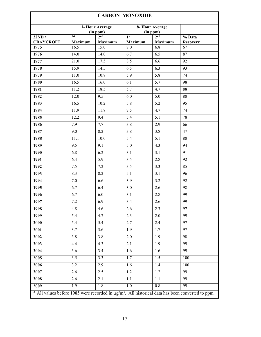| <b>CARBON MONOXIDE</b>    |                |                             |                            |                             |                                                                                                                   |  |  |  |  |
|---------------------------|----------------|-----------------------------|----------------------------|-----------------------------|-------------------------------------------------------------------------------------------------------------------|--|--|--|--|
|                           |                | 1- Hour Average<br>(in ppm) |                            | 8- Hour Average<br>(in ppm) |                                                                                                                   |  |  |  |  |
| 22ND/<br><b>CRAYCROFT</b> | 1st<br>Maximum | 2 <sub>nd</sub><br>Maximum  | 1 <sup>st</sup><br>Maximum | 2 <sub>nd</sub><br>Maximum  | % Data<br><b>Recovery</b>                                                                                         |  |  |  |  |
| 1975                      | 16.5           | 15.0                        | 7.0                        | 6.8                         | 67                                                                                                                |  |  |  |  |
| 1976                      | 14.0           | 14.0                        | 6.7                        | 6.5                         | 87                                                                                                                |  |  |  |  |
| 1977                      | 21.0           | 17.5                        | 8.5                        | 6.6                         | 92                                                                                                                |  |  |  |  |
| 1978                      | 15.9           | 14.5                        | 6.5                        | 6.3                         | 93                                                                                                                |  |  |  |  |
| 1979                      | 11.0           | 10.8                        | 5.9                        | 5.8                         | 74                                                                                                                |  |  |  |  |
| 1980                      | 16.5           | 16.0                        | 6.1                        | 5.7                         | 98                                                                                                                |  |  |  |  |
| 1981                      | 11.2           | 18.5                        | 5.7                        | 4.7                         | 88                                                                                                                |  |  |  |  |
| 1982                      | 12.0           | 9.5                         | 6.0                        | 5.0                         | 88                                                                                                                |  |  |  |  |
| 1983                      | 16.5           | 10.2                        | 5.8                        | 5.2                         | 95                                                                                                                |  |  |  |  |
| 1984                      | 11.9           | 11.8                        | 7.5                        | 4.7                         | 74                                                                                                                |  |  |  |  |
| 1985                      | 12.2           | 9.4                         | 5.4                        | 5.1                         | 78                                                                                                                |  |  |  |  |
| 1986                      | 7.9            | 7.7                         | 3.8                        | 2.9                         | 66                                                                                                                |  |  |  |  |
| 1987                      | 9.0            | 8.2                         | 3.8                        | 3.8                         | 47                                                                                                                |  |  |  |  |
| 1988                      | 11.1           | 10.0                        | 5.4                        | 5.1                         | 88                                                                                                                |  |  |  |  |
| 1989                      | 9.5            | 9.1                         | 5.0                        | 4.3                         | 94                                                                                                                |  |  |  |  |
| 1990                      | 6.8            | 6.2                         | 3.1                        | 3.1                         | 91                                                                                                                |  |  |  |  |
| 1991                      | 6.4            | 5.9                         | 3.5                        | 2.8                         | 92                                                                                                                |  |  |  |  |
| 1992                      | 7.5            | 7.2                         | 3.5                        | 3.3                         | 85                                                                                                                |  |  |  |  |
| 1993                      | 8.3            | 8.2                         | 5.1                        | 3.1                         | 96                                                                                                                |  |  |  |  |
| 1994                      | 7.0            | 6.6                         | 3.9                        | 3.2                         | 92                                                                                                                |  |  |  |  |
| 1995                      | 6.7            | 6.4                         | 3.0                        | 2.6                         | 98                                                                                                                |  |  |  |  |
| 1996                      | 6.7            | 6.0                         | 3.1                        | 2.8                         | 99                                                                                                                |  |  |  |  |
| 1997                      | $7.2\,$        | 6.9                         | 3.4                        | $2.6\,$                     | 99                                                                                                                |  |  |  |  |
| 1998                      | 4.8            | 4.6                         | 2.6                        | 2.3                         | 97                                                                                                                |  |  |  |  |
| 1999                      | 5.4            | 4.7                         | 2.3                        | $2.0\,$                     | 99                                                                                                                |  |  |  |  |
| 2000                      | 5.4            | 5.4                         | 2.7                        | 2.4                         | 97                                                                                                                |  |  |  |  |
| 2001                      | 3.7            | 3.6                         | 1.9                        | 1.7                         | 97                                                                                                                |  |  |  |  |
| 2002                      | 3.8            | 3.8                         | 2.0                        | 1.9                         | 98                                                                                                                |  |  |  |  |
| 2003                      | 4.4            | 4.3                         | 2.1                        | 1.9                         | 99                                                                                                                |  |  |  |  |
| 2004                      | 3.6            | 3.4                         | 1.6                        | 1.6                         | 99                                                                                                                |  |  |  |  |
| 2005                      | 3.5            | 3.3                         | 1.7                        | 1.5                         | 100                                                                                                               |  |  |  |  |
| 2006                      | 3.2            | 2.9                         | 1.6                        | 1.4                         | 100                                                                                                               |  |  |  |  |
| 2007                      | 2.6            | 2.5                         | 1.2                        | 1.2                         | 99                                                                                                                |  |  |  |  |
| 2008                      | 2.6            | 2.1                         | 1.1                        | 1.1                         | 99                                                                                                                |  |  |  |  |
| 2009                      | 1.9            | 1.8                         | 1.0                        | $0.8\,$                     | 99                                                                                                                |  |  |  |  |
|                           |                |                             |                            |                             | * All values before 1985 were recorded in $\mu$ g/m <sup>3</sup> . All historical data has been converted to ppm. |  |  |  |  |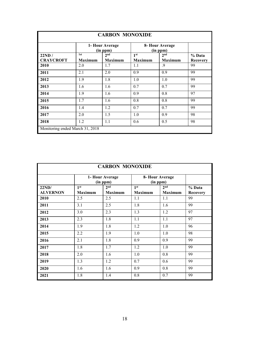| <b>CARBON MONOXIDE</b>          |                       |                                   |                                   |                                   |                    |  |  |  |
|---------------------------------|-----------------------|-----------------------------------|-----------------------------------|-----------------------------------|--------------------|--|--|--|
|                                 |                       | 1- Hour Average<br>(in ppm)       |                                   | 8- Hour Average<br>(in ppm)       |                    |  |  |  |
| 22ND/<br><b>CRAYCROFT</b>       | 1st<br><b>Maximum</b> | 2 <sub>nd</sub><br><b>Maximum</b> | 1 <sup>st</sup><br><b>Maximum</b> | 2 <sub>nd</sub><br><b>Maximum</b> | % Data<br>Recovery |  |  |  |
| 2010                            | 2.0                   | 1.7                               | 1.1                               | .9                                | 99                 |  |  |  |
| 2011                            | 2.1                   | 2.0                               | 0.9                               | 0.9                               | 99                 |  |  |  |
| 2012                            | 1.9                   | 1.8                               | 1.0                               | 1.0                               | 99                 |  |  |  |
| 2013                            | 1.6                   | 1.6                               | 0.7                               | 0.7                               | 99                 |  |  |  |
| 2014                            | 1.9                   | 1.6                               | 0.9                               | 0.8                               | 97                 |  |  |  |
| 2015                            | 1.7                   | 1.6                               | 0.8                               | 0.8                               | 99                 |  |  |  |
| 2016                            | 1.4                   | 1.2                               | 0.7                               | 0.7                               | 99                 |  |  |  |
| 2017                            | 2.0                   | 1.5                               | 1.0                               | 0.9                               | 98                 |  |  |  |
| 2018                            | 1.2                   | 1.1                               | 0.6                               | 0.5                               | 98                 |  |  |  |
| Monitoring ended March 31, 2018 |                       |                                   |                                   |                                   |                    |  |  |  |

| <b>CARBON MONOXIDE</b>   |                                                            |                                   |                                   |                                   |                           |  |  |  |
|--------------------------|------------------------------------------------------------|-----------------------------------|-----------------------------------|-----------------------------------|---------------------------|--|--|--|
|                          | 1- Hour Average<br>8- Hour Average<br>(in ppm)<br>(in ppm) |                                   |                                   |                                   |                           |  |  |  |
| 22ND/<br><b>ALVERNON</b> | 1 <sup>st</sup><br><b>Maximum</b>                          | 2 <sup>nd</sup><br><b>Maximum</b> | 1 <sup>st</sup><br><b>Maximum</b> | 2 <sup>nd</sup><br><b>Maximum</b> | % Data<br><b>Recovery</b> |  |  |  |
| 2010                     | 2.5                                                        | 2.5                               | 1.1                               | 1.1                               | 99                        |  |  |  |
| 2011                     | 3.1                                                        | 2.5                               | 1.8                               | 1.6                               | 99                        |  |  |  |
| 2012                     | 3.0                                                        | 2.3                               | 1.3                               | 1.2                               | 97                        |  |  |  |
| 2013                     | 2.3                                                        | 1.8                               | 1.1                               | 1.1                               | 97                        |  |  |  |
| 2014                     | 1.9                                                        | 1.8                               | 1.2                               | 1.0                               | 96                        |  |  |  |
| 2015                     | 2.2                                                        | 1.9                               | 1.0                               | 1.0                               | 98                        |  |  |  |
| 2016                     | 2.1                                                        | 1.8                               | 0.9                               | 0.9                               | 99                        |  |  |  |
| 2017                     | 1.8                                                        | 1.7                               | 1.2                               | 1.0                               | 99                        |  |  |  |
| 2018                     | 2.0                                                        | 1.6                               | 1.0                               | 0.8                               | 99                        |  |  |  |
| 2019                     | 1.3                                                        | 1.2                               | 0.7                               | 0.6                               | 99                        |  |  |  |
| 2020                     | 1.6                                                        | 1.6                               | 0.9                               | 0.8                               | 99                        |  |  |  |
| 2021                     | 1.8                                                        | 1.4                               | 0.8                               | 0.7                               | 99                        |  |  |  |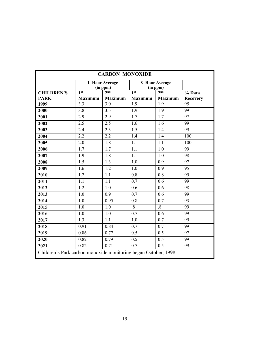| <b>CARBON MONOXIDE</b>                                          |                  |                             |                 |                             |                 |  |  |
|-----------------------------------------------------------------|------------------|-----------------------------|-----------------|-----------------------------|-----------------|--|--|
|                                                                 |                  | 1- Hour Average<br>(in ppm) |                 | 8- Hour Average<br>(in ppm) |                 |  |  |
| <b>CHILDREN'S</b>                                               | 1 <sup>st</sup>  | 2 <sub>nd</sub>             | 1 <sup>st</sup> | 2 <sub>nd</sub>             | % Data          |  |  |
| <b>PARK</b>                                                     | <b>Maximum</b>   | <b>Maximum</b>              | <b>Maximum</b>  | <b>Maximum</b>              | <b>Recovery</b> |  |  |
| 1999                                                            | 3.3              | 3.0                         | 1.9             | 1.9                         | 95              |  |  |
| 2000                                                            | 3.8              | 3.5                         | 1.9             | 1.9                         | 99              |  |  |
| 2001                                                            | 2.9              | 2.9                         | 1.7             | 1.7                         | 97              |  |  |
| 2002                                                            | 2.5              | 2.5                         | 1.6             | 1.6                         | 99              |  |  |
| 2003                                                            | 2.4              | 2.3                         | 1.5             | 1.4                         | 99              |  |  |
| 2004                                                            | 2.2              | 2.2                         | 1.4             | 1.4                         | 100             |  |  |
| 2005                                                            | 2.0              | 1.8                         | 1.1             | 1.1                         | 100             |  |  |
| 2006                                                            | 1.7              | 1.7                         | 1.1             | 1.0                         | 99              |  |  |
| 2007                                                            | 1.9              | 1.8                         | 1.1             | 1.0                         | 98              |  |  |
| 2008                                                            | 1.5              | 1.3                         | 1.0             | 0.9                         | 97              |  |  |
| 2009                                                            | 1.6              | 1.2                         | 1.0             | 0.9                         | 95              |  |  |
| 2010                                                            | 1.2              | 1.1                         | 0.8             | 0.8                         | 99              |  |  |
| 2011                                                            | 1.1              | 1.1                         | 0.7             | 0.6                         | 99              |  |  |
| 2012                                                            | $\overline{1.2}$ | 1.0                         | 0.6             | 0.6                         | 98              |  |  |
| 2013                                                            | 1.0              | 0.9                         | 0.7             | 0.6                         | 99              |  |  |
| 2014                                                            | 1.0              | 0.95                        | 0.8             | 0.7                         | 93              |  |  |
| 2015                                                            | 1.0              | 1.0                         | $\overline{8}$  | $\overline{8}$              | 99              |  |  |
| 2016                                                            | 1.0              | 1.0                         | 0.7             | 0.6                         | 99              |  |  |
| 2017                                                            | 1.3              | 1.1                         | 1.0             | 0.7                         | 99              |  |  |
| 2018                                                            | 0.91             | 0.84                        | 0.7             | 0.7                         | 99              |  |  |
| 2019                                                            | 0.86             | 0.77                        | 0.5             | 0.5                         | 97              |  |  |
| 2020                                                            | 0.82             | 0.79                        | 0.5             | 0.5                         | 99              |  |  |
| 2021                                                            | 0.82             | 0.71                        | 0.7             | 0.5                         | 99              |  |  |
| Children's Park carbon monoxide monitoring began October, 1998. |                  |                             |                 |                             |                 |  |  |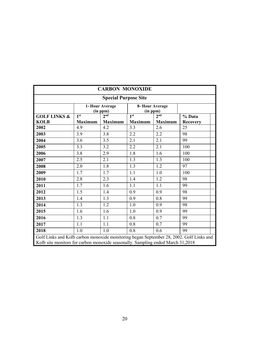| <b>CARBON MONOXIDE</b>                                                                                                                                                     |                                    |                |                                    |                |                 |  |  |  |  |
|----------------------------------------------------------------------------------------------------------------------------------------------------------------------------|------------------------------------|----------------|------------------------------------|----------------|-----------------|--|--|--|--|
| <b>Special Purpose Site</b>                                                                                                                                                |                                    |                |                                    |                |                 |  |  |  |  |
|                                                                                                                                                                            | 1- Hour Average<br>(in ppm)        |                |                                    |                |                 |  |  |  |  |
| <b>GOLF LINKS &amp;</b>                                                                                                                                                    | 1 <sup>st</sup><br>2 <sub>nd</sub> |                | 1 <sup>st</sup><br>2 <sup>nd</sup> |                | % Data          |  |  |  |  |
| <b>KOLB</b>                                                                                                                                                                | <b>Maximum</b>                     | <b>Maximum</b> | <b>Maximum</b>                     | <b>Maximum</b> | <b>Recovery</b> |  |  |  |  |
| 2002                                                                                                                                                                       | 4.9                                | 4.2            | 3.3                                | 2.6            | 25              |  |  |  |  |
| 2003                                                                                                                                                                       | 3.9                                | 3.8            | 2.2                                | 2.2            | 98              |  |  |  |  |
| 2004                                                                                                                                                                       | 3.6                                | 3.5            | 2.1                                | 2.1            | 99              |  |  |  |  |
| 2005                                                                                                                                                                       | 3.3                                | 3.2            | 2.2                                | 2.1            | 100             |  |  |  |  |
| 2006                                                                                                                                                                       | 3.8                                | 2.9            | 1.8                                | 1.6            | 100             |  |  |  |  |
| 2007                                                                                                                                                                       | 2.5                                | 2.1            | 1.3                                | 1.3            | 100             |  |  |  |  |
| 2008                                                                                                                                                                       | 2.0                                | 1.8            | 1.3                                | 1.2            | 97              |  |  |  |  |
| 2009                                                                                                                                                                       | 1.7                                | 1.7            | 1.1                                | 1.0            | 100             |  |  |  |  |
| 2010                                                                                                                                                                       | 2.8                                | 2.3            | 1.4                                | 1.2            | 98              |  |  |  |  |
| 2011                                                                                                                                                                       | 1.7                                | 1.6            | 1.1                                | 1.1            | 99              |  |  |  |  |
| 2012                                                                                                                                                                       | 1.5                                | 1.4            | 0.9                                | 0.9            | 98              |  |  |  |  |
| 2013                                                                                                                                                                       | 1.4                                | 1.3            | 0.9                                | 0.8            | 99              |  |  |  |  |
| 2014                                                                                                                                                                       | 1.3                                | 1.2            | 1.0                                | 0.9            | 98              |  |  |  |  |
| 2015                                                                                                                                                                       | 1.6                                | 1.6            | 1.0                                | 0.9            | 99              |  |  |  |  |
| 2016                                                                                                                                                                       | 1.3                                | 1.1            | 0.8                                | 0.7            | 99              |  |  |  |  |
| 2017                                                                                                                                                                       | 1.1                                | 1.1            | 0.8                                | 0.7            | 99              |  |  |  |  |
| 2018                                                                                                                                                                       | 1.0                                | 1.0            | 0.8                                | 0.6            | 99              |  |  |  |  |
| Golf Links and Kolb carbon monoxide monitoring began September 28, 2002. Golf Links and<br>Kolb site monitors for carbon monoxide seasonally. Sampling ended March 31,2018 |                                    |                |                                    |                |                 |  |  |  |  |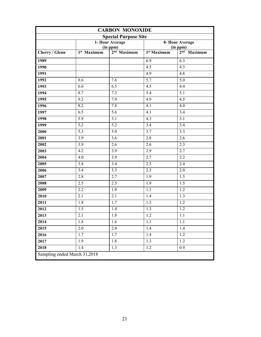| <b>CARBON MONOXIDE</b>       |                         |                           |                             |                                        |  |  |  |  |
|------------------------------|-------------------------|---------------------------|-----------------------------|----------------------------------------|--|--|--|--|
| <b>Special Purpose Site</b>  |                         |                           |                             |                                        |  |  |  |  |
|                              |                         | 1- Hour Average           |                             | 8- Hour Average                        |  |  |  |  |
| Cherry / Glenn               | 1 <sup>st</sup> Maximum | (in ppm)<br>$2nd$ Maximum | $\overline{1^{st}}$ Maximum | (in ppm)<br>2 <sup>nd</sup><br>Maximum |  |  |  |  |
|                              |                         |                           |                             |                                        |  |  |  |  |
| 1989                         |                         |                           | 6.9                         | 6.3                                    |  |  |  |  |
| 1990                         |                         |                           | 4.5                         | 4.3                                    |  |  |  |  |
| 1991                         |                         |                           | 4.9                         | 4.8                                    |  |  |  |  |
| 1992                         | 8.6                     | 7.6                       | 5.7                         | 5.0                                    |  |  |  |  |
| 1993                         | 6.6                     | 6.5                       | 4.5                         | 4.4                                    |  |  |  |  |
| 1994                         | 8.7                     | 7.3                       | 5.4                         | 5.1                                    |  |  |  |  |
| 1995                         | 9.2                     | 7.9                       | 4.9                         | 4.5                                    |  |  |  |  |
| 1996                         | 8.2                     | 7.8                       | 4.1                         | 4.0                                    |  |  |  |  |
| 1997                         | 6.5                     | 5.6                       | 4.1                         | 3.4                                    |  |  |  |  |
| 1998                         | 5.9                     | 5.1                       | 4.3                         | 3.1                                    |  |  |  |  |
| 1999                         | 5.2                     | 5.2                       | 3.4                         | 3.4                                    |  |  |  |  |
| 2000                         | 5.3                     | 5.0                       | 3.7                         | 3.3                                    |  |  |  |  |
| 2001                         | 3.9                     | 3.6                       | 2.8                         | 2.6                                    |  |  |  |  |
| 2002                         | 3.9                     | 2.6                       | 2.6                         | 2.3                                    |  |  |  |  |
| 2003                         | 4.2                     | 3.9                       | 2.9                         | 2.7                                    |  |  |  |  |
| 2004                         | 4.0                     | 3.9                       | 2.7                         | 2.2                                    |  |  |  |  |
| 2005                         | 3.8                     | 3.4                       | 2.5                         | 2.4                                    |  |  |  |  |
| 2006                         | 3.4                     | 3.3                       | 2.3                         | 2.0                                    |  |  |  |  |
| 2007                         | 2.8                     | 2.7                       | 1.9                         | 1.5                                    |  |  |  |  |
| 2008                         | 2.5                     | 2.5                       | 1.9                         | 1.5                                    |  |  |  |  |
| 2009                         | 2.2                     | 1.9                       | 1.3                         | 1.2                                    |  |  |  |  |
| 2010                         | 2.1                     | 2.1                       | 1.4                         | 1.3                                    |  |  |  |  |
| 2011                         | 1.8                     | 1.7                       | 1.3                         | 1.2                                    |  |  |  |  |
| 2012                         | 1.5                     | 1.4                       | 1.3                         | 1.2                                    |  |  |  |  |
| 2013                         | 2.1                     | 1.8                       | $1.2\,$                     | 1.1                                    |  |  |  |  |
| 2014                         | 1.8                     | 1.6                       | $1.1\,$                     | 1.1                                    |  |  |  |  |
| 2015                         | 2.0                     | 2.0                       | 1.4                         | 1.4                                    |  |  |  |  |
| 2016                         | 1.7                     | 1.7                       | 1.4                         | 1.2                                    |  |  |  |  |
| 2017                         | 1.9                     | 1.8                       | 1.3                         | $1.2\,$                                |  |  |  |  |
| 2018                         | 1.4                     | 1.3                       | 1.2                         | 0.9                                    |  |  |  |  |
| Sampling ended March 31,2018 |                         |                           |                             |                                        |  |  |  |  |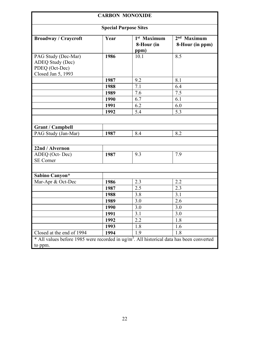|                                                                                                      | <b>CARBON MONOXIDE</b> |                                     |                                  |  |  |  |  |  |  |
|------------------------------------------------------------------------------------------------------|------------------------|-------------------------------------|----------------------------------|--|--|--|--|--|--|
| <b>Special Purpose Sites</b>                                                                         |                        |                                     |                                  |  |  |  |  |  |  |
| <b>Broadway / Craycroft</b>                                                                          | Year                   | $1st$ Maximum<br>8-Hour (in<br>ppm) | $2nd$ Maximum<br>8-Hour (in ppm) |  |  |  |  |  |  |
| PAG Study (Dec-Mar)<br>ADEQ Study (Dec)<br>PDEQ (Oct-Dec)<br>Closed Jan 5, 1993                      | 1986                   | 10.1                                | 8.5                              |  |  |  |  |  |  |
|                                                                                                      | 1987                   | 9.2                                 | 8.1                              |  |  |  |  |  |  |
|                                                                                                      | 1988                   | 7.1                                 | 6.4                              |  |  |  |  |  |  |
|                                                                                                      | 1989                   | 7.6                                 | 7.5                              |  |  |  |  |  |  |
|                                                                                                      | 1990                   | 6.7                                 | 6.1                              |  |  |  |  |  |  |
|                                                                                                      | 1991                   | 6.2                                 | 6.0                              |  |  |  |  |  |  |
|                                                                                                      | 1992                   | 5.4                                 | 5.3                              |  |  |  |  |  |  |
|                                                                                                      |                        |                                     |                                  |  |  |  |  |  |  |
| <b>Grant / Campbell</b>                                                                              |                        |                                     |                                  |  |  |  |  |  |  |
| PAG Study (Jan-Mar)                                                                                  | 1987                   | 8.4                                 | 8.2                              |  |  |  |  |  |  |
|                                                                                                      |                        |                                     |                                  |  |  |  |  |  |  |
| 22nd / Alvernon                                                                                      |                        |                                     |                                  |  |  |  |  |  |  |
| ADEQ (Oct-Dec)<br><b>SE</b> Corner                                                                   | 1987                   | 9.3                                 | 7.9                              |  |  |  |  |  |  |
|                                                                                                      |                        |                                     |                                  |  |  |  |  |  |  |
| Sabino Canyon*                                                                                       |                        |                                     |                                  |  |  |  |  |  |  |
| Mar-Apr & Oct-Dec                                                                                    | 1986                   | 2.3                                 | 2.2                              |  |  |  |  |  |  |
|                                                                                                      | 1987                   | 2.5                                 | 2.3                              |  |  |  |  |  |  |
|                                                                                                      | 1988                   | 3.8                                 | 3.1                              |  |  |  |  |  |  |
|                                                                                                      | 1989                   | 3.0                                 | 2.6                              |  |  |  |  |  |  |
|                                                                                                      | 1990                   | 3.0                                 | 3.0                              |  |  |  |  |  |  |
|                                                                                                      | 1991                   | 3.1                                 | 3.0                              |  |  |  |  |  |  |
|                                                                                                      | 1992                   | 2.2                                 | 1.8                              |  |  |  |  |  |  |
|                                                                                                      | 1993                   | 1.8                                 | 1.6                              |  |  |  |  |  |  |
| Closed at the end of 1994                                                                            | 1994                   | 1.9                                 | 1.8                              |  |  |  |  |  |  |
| * All values before 1985 were recorded in ug/m <sup>3</sup> . All historical data has been converted |                        |                                     |                                  |  |  |  |  |  |  |
| to ppm.                                                                                              |                        |                                     |                                  |  |  |  |  |  |  |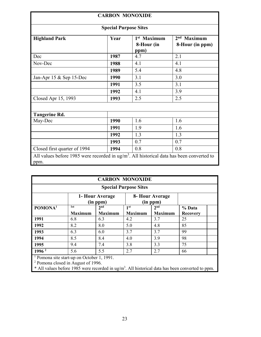| <b>CARBON MONOXIDE</b>                                                                                    |                              |                                               |                                  |  |  |  |  |  |
|-----------------------------------------------------------------------------------------------------------|------------------------------|-----------------------------------------------|----------------------------------|--|--|--|--|--|
|                                                                                                           | <b>Special Purpose Sites</b> |                                               |                                  |  |  |  |  |  |
| <b>Highland Park</b>                                                                                      | Year                         | 1 <sup>st</sup> Maximum<br>8-Hour (in<br>ppm) | $2nd$ Maximum<br>8-Hour (in ppm) |  |  |  |  |  |
| Dec                                                                                                       | 1987                         | 4.7                                           | 2.1                              |  |  |  |  |  |
| Nov-Dec                                                                                                   | 1988                         | 4.1                                           | 4.1                              |  |  |  |  |  |
|                                                                                                           | 1989                         | 5.4                                           | 4.8                              |  |  |  |  |  |
| Jan-Apr $15 \&$ Sep 15-Dec                                                                                | 1990                         | 3.1                                           | 3.0                              |  |  |  |  |  |
|                                                                                                           | 1991                         | 3.5                                           | 3.1                              |  |  |  |  |  |
|                                                                                                           | 1992                         | 4.1                                           | 3.9                              |  |  |  |  |  |
| Closed Apr 15, 1993                                                                                       | 1993                         | 2.5                                           | 2.5                              |  |  |  |  |  |
|                                                                                                           |                              |                                               |                                  |  |  |  |  |  |
| <b>Tangerine Rd.</b>                                                                                      |                              |                                               |                                  |  |  |  |  |  |
| May-Dec                                                                                                   | 1990                         | 1.6                                           | 1.6                              |  |  |  |  |  |
|                                                                                                           | 1991                         | 1.9                                           | 1.6                              |  |  |  |  |  |
|                                                                                                           | 1992                         | 1.3                                           | 1.3                              |  |  |  |  |  |
|                                                                                                           | 1993                         | 0.7                                           | 0.7                              |  |  |  |  |  |
| Closed first quarter of 1994                                                                              | 0.8<br>0.8<br>1994           |                                               |                                  |  |  |  |  |  |
| All values before 1985 were recorded in $\frac{1}{2}$ . All historical data has been converted to<br>ppm. |                              |                                               |                                  |  |  |  |  |  |

| <b>CARBON MONOXIDE</b>                                                                                 |                             |                             |                 |                 |                 |  |
|--------------------------------------------------------------------------------------------------------|-----------------------------|-----------------------------|-----------------|-----------------|-----------------|--|
| <b>Special Purpose Sites</b>                                                                           |                             |                             |                 |                 |                 |  |
|                                                                                                        | 1- Hour Average<br>(in ppm) | 8- Hour Average<br>(in ppm) |                 |                 |                 |  |
| POMONA <sup>1</sup>                                                                                    | 1st                         | 2 <sub>nd</sub>             | 1 <sup>st</sup> | 2 <sup>nd</sup> | % Data          |  |
|                                                                                                        | <b>Maximum</b>              | <b>Maximum</b>              | <b>Maximum</b>  | <b>Maximum</b>  | <b>Recovery</b> |  |
| 1991                                                                                                   | 6.8                         | 6.3                         | 4.2             | 3.7             | 25              |  |
| 1992                                                                                                   | 8.2                         | 8.0                         | 5.0             | 4.8             | 85              |  |
| 1993                                                                                                   | 6.3                         | 6.0                         | 3.7             | 3.7             | 99              |  |
| 1994                                                                                                   | 8.5                         | 8.4                         | 4.0             | 3.9             | 98              |  |
| 1995                                                                                                   | 9.4                         | 7.4                         | 3.8             | 3.3             | 75              |  |
| 1996 <sup>2</sup>                                                                                      | 5.6                         | 5.5                         | 2.7             | 2.7             | 66              |  |
| <sup>1</sup> Pomona site start-up on October 1, 1991.<br><sup>2</sup> Pomona closed in August of 1996. |                             |                             |                 |                 |                 |  |
|                                                                                                        |                             |                             |                 |                 |                 |  |

 $*$  All values before 1985 were recorded in ug/m<sup>3</sup>. All historical data has been converted to ppm.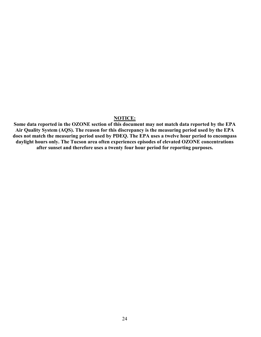#### **NOTICE:**

**Some data reported in the OZONE section of this document may not match data reported by the EPA Air Quality System (AQS). The reason for this discrepancy is the measuring period used by the EPA does not match the measuring period used by PDEQ. The EPA uses a twelve hour period to encompass daylight hours only. The Tucson area often experiences episodes of elevated OZONE concentrations after sunset and therefore uses a twenty four hour period for reporting purposes.**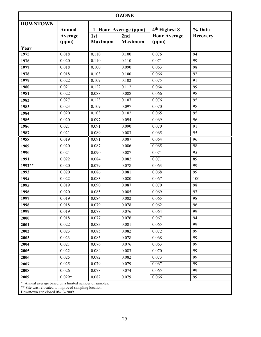|                 |                                                        |                       | <b>OZONE</b>          |                              |                 |  |  |
|-----------------|--------------------------------------------------------|-----------------------|-----------------------|------------------------------|-----------------|--|--|
| <b>DOWNTOWN</b> | Annual                                                 |                       | 1- Hour Average (ppm) | 4 <sup>th</sup> Highest 8-   | % Data          |  |  |
|                 | Average<br>(ppm)                                       | 1st<br><b>Maximum</b> | 2nd<br><b>Maximum</b> | <b>Hour Average</b><br>(ppm) | <b>Recovery</b> |  |  |
| Year            |                                                        |                       |                       |                              |                 |  |  |
| 1975            | 0.018                                                  | 0.110                 | 0.100                 | 0.076                        | 94              |  |  |
| 1976            | 0.020                                                  | 0.110                 | 0.110                 | 0.071                        | 99              |  |  |
| 1977            | 0.018                                                  | 0.100                 | 0.090                 | 0.063                        | 98              |  |  |
| 1978            | 0.018                                                  | 0.103                 | 0.100                 | 0.066                        | 92              |  |  |
| 1979            | 0.022                                                  | 0.109                 | 0.102                 | 0.075                        | 91              |  |  |
| 1980            | 0.021                                                  | 0.122                 | 0.112                 | 0.064                        | 99              |  |  |
| 1981            | 0.022                                                  | 0.088                 | 0.088                 | 0.066                        | 98              |  |  |
| 1982            | 0.027                                                  | 0.123                 | 0.107                 | 0.076                        | 95              |  |  |
| 1983            | 0.023                                                  | 0.109                 | 0.097                 | 0.070                        | 98              |  |  |
| 1984            | 0.020                                                  | 0.103                 | 0.102                 | 0.065                        | 95              |  |  |
| 1985            | 0.020                                                  | 0.097                 | 0.094                 | 0.069                        | 96              |  |  |
| 1986            | 0.021                                                  | 0.091                 | 0.090                 | 0.070                        | 91              |  |  |
| 1987            | 0.021                                                  | 0.089                 | 0.083                 | 0.065                        | 95              |  |  |
| 1988            | 0.019                                                  | 0.091                 | 0.087                 | 0.064                        | 96              |  |  |
| 1989            | 0.020                                                  | 0.087                 | 0.086                 | 0.065                        | 98              |  |  |
| 1990            | 0.021                                                  | 0.090                 | 0.087                 | 0.071                        | 95              |  |  |
| 1991            | 0.022                                                  | 0.084                 | 0.082                 | 0.071                        | 89              |  |  |
| $1992**$        | 0.020                                                  | 0.079                 | 0.078                 | 0.063                        | 99              |  |  |
| 1993            | 0.020                                                  | 0.086                 | 0.081                 | 0.068                        | 99              |  |  |
| 1994            | 0.022                                                  | 0.083                 | 0.080                 | 0.067                        | 100             |  |  |
| 1995            | 0.019                                                  | 0.090                 | 0.087                 | 0.070                        | 98              |  |  |
| 1996            | 0.020                                                  | 0.085                 | 0.085                 | 0.069                        | 97              |  |  |
| 1997            | 0.019                                                  | 0.084                 | 0.082                 | 0.065                        | 98              |  |  |
| 1998            | 0.018                                                  | 0.079                 | 0.078                 | 0.062                        | 96              |  |  |
| 1999            | 0.019                                                  | 0.078                 | 0.076                 | 0.064                        | 99              |  |  |
| 2000            | 0.018                                                  | 0.077                 | 0.076                 | 0.067                        | 94              |  |  |
| 2001            | 0.022                                                  | 0.083                 | 0.081                 | 0.065                        | 99              |  |  |
| 2002            | 0.023                                                  | 0.085                 | 0.082                 | 0.072                        | 99              |  |  |
| 2003            | 0.023                                                  | 0.085                 | 0.078                 | 0.068                        | 99              |  |  |
| 2004            | 0.021                                                  | 0.076                 | 0.076                 | 0.063                        | 99              |  |  |
| 2005            | 0.022                                                  | 0.084                 | 0.083                 | 0.070                        | 99              |  |  |
| 2006            | 0.025                                                  | 0.082                 | 0.082                 | 0.073                        | 99              |  |  |
| 2007            | 0.025                                                  | 0.079                 | 0.079                 | 0.067                        | 99              |  |  |
| 2008            | 0.026                                                  | 0.078                 | 0.074                 | 0.065                        | 99              |  |  |
| 2009            | $0.029*$                                               | 0.082                 | 0.079                 | 0.066                        | 99              |  |  |
|                 | * Annual average based on a limited number of samples. |                       |                       |                              |                 |  |  |

\*\* Site was relocated to improved sampling location.

Downtown site closed 08-13-2009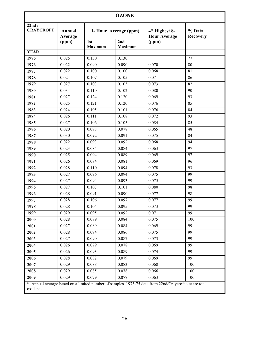| <b>OZONE</b>              |                          |                       |                       |                                                                                                        |                           |
|---------------------------|--------------------------|-----------------------|-----------------------|--------------------------------------------------------------------------------------------------------|---------------------------|
| 22nd/<br><b>CRAYCROFT</b> | <b>Annual</b><br>Average |                       | 1- Hour Average (ppm) | 4 <sup>th</sup> Highest 8-<br><b>Hour Average</b>                                                      | % Data<br><b>Recovery</b> |
|                           | (ppm)                    | 1st<br><b>Maximum</b> | 2nd<br><b>Maximum</b> | (ppm)                                                                                                  |                           |
| <b>YEAR</b>               |                          |                       |                       |                                                                                                        |                           |
| 1975                      | 0.025                    | 0.130                 | 0.130                 |                                                                                                        | 77                        |
| 1976                      | 0.022                    | 0.090                 | 0.090                 | 0.070                                                                                                  | 80                        |
| 1977                      | 0.022                    | 0.100                 | 0.100                 | 0.068                                                                                                  | 81                        |
| 1978                      | 0.024                    | 0.107                 | 0.105                 | 0.071                                                                                                  | 86                        |
| 1979                      | 0.027                    | 0.103                 | 0.103                 | 0.073                                                                                                  | 82                        |
| 1980                      | 0.034                    | 0.110                 | 0.102                 | 0.080                                                                                                  | 90                        |
| 1981                      | 0.027                    | 0.124                 | 0.120                 | 0.069                                                                                                  | 93                        |
| 1982                      | 0.025                    | 0.121                 | 0.120                 | 0.076                                                                                                  | 85                        |
| 1983                      | 0.024                    | 0.105                 | 0.101                 | 0.076                                                                                                  | 84                        |
| 1984                      | 0.026                    | 0.111                 | 0.108                 | 0.072                                                                                                  | 93                        |
| 1985                      | 0.027                    | 0.106                 | 0.105                 | 0.084                                                                                                  | 85                        |
| 1986                      | 0.020                    | 0.078                 | 0.078                 | 0.065                                                                                                  | 48                        |
| 1987                      | 0.030                    | 0.092                 | 0.091                 | 0.075                                                                                                  | 84                        |
| 1988                      | 0.022                    | 0.093                 | 0.092                 | 0.068                                                                                                  | 94                        |
| 1989                      | 0.023                    | 0.084                 | 0.084                 | 0.063                                                                                                  | 97                        |
| 1990                      | 0.025                    | 0.094                 | 0.089                 | 0.069                                                                                                  | 97                        |
| 1991                      | 0.026                    | 0.084                 | 0.081                 | 0.069                                                                                                  | 96                        |
| 1992                      | 0.028                    | 0.110                 | 0.094                 | 0.078                                                                                                  | 93                        |
| 1993                      | 0.027                    | 0.096                 | 0.094                 | 0.075                                                                                                  | 99                        |
| 1994                      | 0.027                    | 0.094                 | 0.093                 | 0.075                                                                                                  | 99                        |
| 1995                      | 0.027                    | 0.107                 | 0.101                 | 0.080                                                                                                  | 98                        |
| 1996                      | 0.028                    | 0.091                 | 0.090                 | 0.077                                                                                                  | 98                        |
| 1997                      | 0.028                    | 0.106                 | 0.097                 | 0.077                                                                                                  | 99                        |
| 1998                      | 0.028                    | 0.104                 | 0.095                 | 0.073                                                                                                  | 99                        |
| 1999                      | 0.029                    | 0.095                 | 0.092                 | 0.071                                                                                                  | 99                        |
| 2000                      | 0.028                    | 0.089                 | 0.084                 | 0.075                                                                                                  | 100                       |
| 2001                      | 0.027                    | 0.089                 | 0.084                 | 0.069                                                                                                  | 99                        |
| 2002                      | 0.028                    | 0.094                 | 0.086                 | 0.075                                                                                                  | 99                        |
| 2003                      | 0.027                    | 0.090                 | 0.087                 | 0.073                                                                                                  | 99                        |
| 2004                      | 0.026                    | 0.079                 | 0.078                 | 0.069                                                                                                  | 99                        |
| 2005                      | 0.026                    | 0.093                 | 0.089                 | 0.074                                                                                                  | 99                        |
| 2006                      | 0.028                    | 0.082                 | 0.079                 | 0.069                                                                                                  | 99                        |
| 2007                      | 0.029                    | 0.088                 | 0.083                 | 0.068                                                                                                  | 100                       |
| 2008                      | 0.029                    | 0.085                 | 0.078                 | 0.066                                                                                                  | 100                       |
| 2009                      | 0.029                    | 0.079                 | 0.077                 | 0.063                                                                                                  | 100                       |
| oxidants.                 |                          |                       |                       | * Annual average based on a limited number of samples. 1973-75 data from 22nd/Craycroft site are total |                           |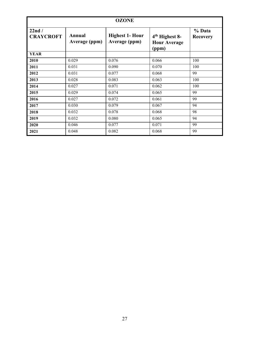| <b>OZONE</b>              |                         |                                         |                                                            |                           |  |
|---------------------------|-------------------------|-----------------------------------------|------------------------------------------------------------|---------------------------|--|
| 22nd/<br><b>CRAYCROFT</b> | Annual<br>Average (ppm) | <b>Highest 1- Hour</b><br>Average (ppm) | 4 <sup>th</sup> Highest 8-<br><b>Hour Average</b><br>(ppm) | % Data<br><b>Recovery</b> |  |
| <b>YEAR</b>               |                         |                                         |                                                            |                           |  |
| 2010                      | 0.029                   | 0.076                                   | 0.066                                                      | 100                       |  |
| 2011                      | 0.031                   | 0.090                                   | 0.070                                                      | 100                       |  |
| 2012                      | 0.031                   | 0.077                                   | 0.068                                                      | 99                        |  |
| 2013                      | 0.028                   | 0.083                                   | 0.063                                                      | 100                       |  |
| 2014                      | 0.027                   | 0.071                                   | 0.062                                                      | 100                       |  |
| 2015                      | 0.029                   | 0.074                                   | 0.065                                                      | 99                        |  |
| 2016                      | 0.027                   | 0.072                                   | 0.061                                                      | 99                        |  |
| 2017                      | 0.030                   | 0.079                                   | 0.067                                                      | 94                        |  |
| 2018                      | 0.032                   | 0.078                                   | 0.068                                                      | 98                        |  |
| 2019                      | 0.032                   | 0.080                                   | 0.065                                                      | 94                        |  |
| 2020                      | 0.046                   | 0.077                                   | 0.071                                                      | 99                        |  |
| 2021                      | 0.048                   | 0.082                                   | 0.068                                                      | 99                        |  |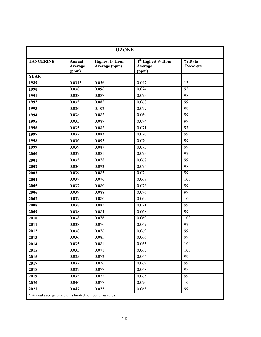|                  | <b>OZONE</b>                                           |                                         |                                                     |                           |  |  |  |
|------------------|--------------------------------------------------------|-----------------------------------------|-----------------------------------------------------|---------------------------|--|--|--|
| <b>TANGERINE</b> | Annual<br>Average<br>(ppm)                             | <b>Highest 1- Hour</b><br>Average (ppm) | 4 <sup>th</sup> Highest 8- Hour<br>Average<br>(ppm) | % Data<br><b>Recovery</b> |  |  |  |
| <b>YEAR</b>      |                                                        |                                         |                                                     |                           |  |  |  |
| 1989             | $0.031*$                                               | 0.056                                   | 0.047                                               | 17                        |  |  |  |
| 1990             | 0.038                                                  | 0.096                                   | 0.074                                               | 95                        |  |  |  |
| 1991             | 0.038                                                  | 0.087                                   | 0.073                                               | 98                        |  |  |  |
| 1992             | 0.035                                                  | 0.085                                   | 0.068                                               | 99                        |  |  |  |
| 1993             | 0.036                                                  | 0.102                                   | 0.077                                               | 99                        |  |  |  |
| 1994             | 0.038                                                  | 0.082                                   | 0.069                                               | 99                        |  |  |  |
| 1995             | 0.035                                                  | 0.087                                   | 0.074                                               | 99                        |  |  |  |
| 1996             | 0.035                                                  | 0.082                                   | 0.071                                               | 97                        |  |  |  |
| 1997             | 0.037                                                  | 0.083                                   | 0.070                                               | 99                        |  |  |  |
| 1998             | 0.036                                                  | 0.095                                   | 0.070                                               | 99                        |  |  |  |
| 1999             | 0.039                                                  | 0.087                                   | 0.073                                               | 99                        |  |  |  |
| 2000             | 0.037                                                  | 0.081                                   | 0.073                                               | 99                        |  |  |  |
| 2001             | 0.035                                                  | 0.078                                   | 0.067                                               | 99                        |  |  |  |
| 2002             | 0.036                                                  | 0.093                                   | 0.075                                               | 98                        |  |  |  |
| 2003             | 0.039                                                  | 0.085                                   | 0.074                                               | 99                        |  |  |  |
| 2004             | 0.037                                                  | 0.076                                   | 0.068                                               | 100                       |  |  |  |
| 2005             | 0.037                                                  | 0.080                                   | 0.073                                               | 99                        |  |  |  |
| 2006             | 0.039                                                  | 0.088                                   | 0.076                                               | 99                        |  |  |  |
| 2007             | 0.037                                                  | 0.080                                   | 0.069                                               | 100                       |  |  |  |
| 2008             | 0.038                                                  | 0.082                                   | 0.071                                               | 99                        |  |  |  |
| 2009             | 0.038                                                  | 0.084                                   | 0.068                                               | 99                        |  |  |  |
| 2010             | 0.038                                                  | 0.076                                   | 0.069                                               | 100                       |  |  |  |
| 2011             | 0.038                                                  | 0.076                                   | 0.069                                               | 99                        |  |  |  |
| 2012             | 0.038                                                  | 0.076                                   | 0.069                                               | 99                        |  |  |  |
| 2013             | 0.036                                                  | 0.085                                   | 0.066                                               | 99                        |  |  |  |
| 2014             | 0.035                                                  | 0.081                                   | 0.065                                               | 100                       |  |  |  |
| 2015             | 0.035                                                  | 0.071                                   | 0.065                                               | 100                       |  |  |  |
| 2016             | 0.035                                                  | 0.072                                   | 0.064                                               | 99                        |  |  |  |
| 2017             | 0.037                                                  | 0.076                                   | 0.069                                               | $\overline{99}$           |  |  |  |
| 2018             | 0.037                                                  | 0.077                                   | 0.068                                               | 98                        |  |  |  |
| 2019             | 0.035                                                  | 0.072                                   | 0.065                                               | 99                        |  |  |  |
| 2020             | 0.046                                                  | 0.077                                   | 0.070                                               | 100                       |  |  |  |
| 2021             | 0.047                                                  | 0.075                                   | 0.068                                               | 99                        |  |  |  |
|                  | * Annual average based on a limited number of samples. |                                         |                                                     |                           |  |  |  |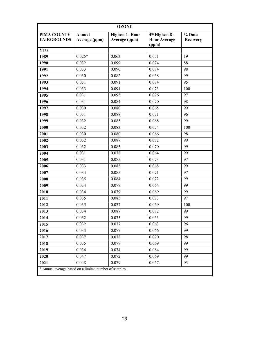| <b>OZONE</b>                                           |                         |                                         |                                                            |                           |  |
|--------------------------------------------------------|-------------------------|-----------------------------------------|------------------------------------------------------------|---------------------------|--|
| PIMA COUNTY<br><b>FAIRGROUNDS</b>                      | Annual<br>Average (ppm) | <b>Highest 1- Hour</b><br>Average (ppm) | 4 <sup>th</sup> Highest 8-<br><b>Hour Average</b><br>(ppm) | % Data<br><b>Recovery</b> |  |
| Year                                                   |                         |                                         |                                                            |                           |  |
| 1989                                                   | $0.025*$                | 0.063                                   | 0.051                                                      | 19                        |  |
| 1990                                                   | 0.032                   | 0.099                                   | 0.074                                                      | 88                        |  |
| 1991                                                   | 0.033                   | 0.090                                   | 0.074                                                      | 98                        |  |
| 1992                                                   | 0.030                   | 0.082                                   | 0.068                                                      | 99                        |  |
| 1993                                                   | 0.031                   | 0.091                                   | 0.074                                                      | 95                        |  |
| 1994                                                   | 0.033                   | 0.091                                   | 0.073                                                      | 100                       |  |
| 1995                                                   | 0.031                   | 0.095                                   | 0.076                                                      | 97                        |  |
| 1996                                                   | 0.031                   | 0.084                                   | 0.070                                                      | 98                        |  |
| 1997                                                   | 0.030                   | 0.080                                   | 0.065                                                      | 99                        |  |
| 1998                                                   | 0.031                   | 0.088                                   | 0.071                                                      | 96                        |  |
| 1999                                                   | 0.032                   | 0.085                                   | 0.068                                                      | 99                        |  |
| 2000                                                   | 0.032                   | 0.083                                   | 0.074                                                      | 100                       |  |
| 2001                                                   | 0.030                   | 0.080                                   | 0.066                                                      | 98                        |  |
| 2002                                                   | 0.032                   | 0.087                                   | 0.072                                                      | 99                        |  |
| 2003                                                   | 0.032                   | 0.085                                   | 0.070                                                      | 99                        |  |
| 2004                                                   | 0.031                   | 0.078                                   | 0.064                                                      | 99                        |  |
| 2005                                                   | 0.031                   | 0.085                                   | 0.073                                                      | 97                        |  |
| 2006                                                   | 0.033                   | 0.083                                   | 0.068                                                      | 99                        |  |
| 2007                                                   | 0.034                   | 0.085                                   | 0.071                                                      | 97                        |  |
| 2008                                                   | 0.035                   | 0.084                                   | 0.072                                                      | 99                        |  |
| 2009                                                   | 0.034                   | 0.079                                   | 0.064                                                      | 99                        |  |
| 2010                                                   | 0.034                   | 0.079                                   | 0.069                                                      | 99                        |  |
| 2011                                                   | 0.035                   | 0.085                                   | 0.073                                                      | 97                        |  |
| 2012                                                   | 0.035                   | 0.077                                   | 0.069                                                      | 100                       |  |
| 2013                                                   | 0.034                   | 0.087                                   | 0.072                                                      | 99                        |  |
| 2014                                                   | 0.032                   | 0.075                                   | 0.063                                                      | 99                        |  |
| 2015                                                   | 0.032                   | 0.077                                   | 0.063                                                      | 96                        |  |
| 2016                                                   | 0.033                   | 0.077                                   | 0.066                                                      | 99                        |  |
| 2017                                                   | 0.037                   | 0.078                                   | 0.070                                                      | 98                        |  |
| 2018                                                   | 0.035                   | 0.079                                   | 0.069                                                      | 99                        |  |
| 2019                                                   | 0.034                   | 0.074                                   | 0.064                                                      | 99                        |  |
| 2020                                                   | 0.047                   | 0.072                                   | 0.069                                                      | 99                        |  |
| 2021                                                   | 0.048                   | 0.079                                   | 0.067.                                                     | 93                        |  |
| * Annual average based on a limited number of samples. |                         |                                         |                                                            |                           |  |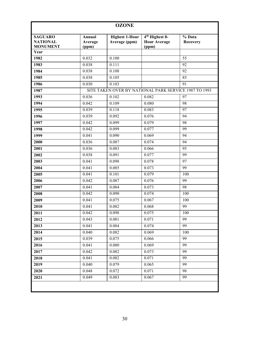| <b>OZONE</b>                                         |                            |                                                       |                                                            |                           |  |
|------------------------------------------------------|----------------------------|-------------------------------------------------------|------------------------------------------------------------|---------------------------|--|
| <b>SAGUARO</b><br><b>NATIONAL</b><br><b>MONUMENT</b> | Annual<br>Average<br>(ppm) | <b>Highest 1-Hour</b><br>Average (ppm)                | 4 <sup>th</sup> Highest 8-<br><b>Hour Average</b><br>(ppm) | % Data<br><b>Recovery</b> |  |
| Year                                                 |                            |                                                       |                                                            |                           |  |
| 1982                                                 | 0.032                      | 0.100                                                 |                                                            | 55                        |  |
| 1983                                                 | 0.038                      | 0.111                                                 |                                                            | 92                        |  |
| 1984                                                 | 0.038                      | 0.108                                                 |                                                            | 92                        |  |
| 1985                                                 | 0.038                      | 0.105                                                 |                                                            | 85                        |  |
| 1986                                                 | 0.030                      | 0.103                                                 |                                                            | 91                        |  |
| 1987                                                 |                            | SITE TAKEN OVER BY NATIONAL PARK SERVICE 1987 TO 1993 |                                                            |                           |  |
| 1993                                                 | 0.036                      | 0.102                                                 | 0.082                                                      | 97                        |  |
| 1994                                                 | 0.042                      | 0.109                                                 | 0.080                                                      | 98                        |  |
| 1995                                                 | 0.039                      | 0.118                                                 | 0.083                                                      | 97                        |  |
| 1996                                                 | 0.039                      | 0.092                                                 | 0.076                                                      | 94                        |  |
| 1997                                                 | 0.042                      | 0.099                                                 | 0.079                                                      | 98                        |  |
| 1998                                                 | 0.042                      | 0.099                                                 | 0.077                                                      | 99                        |  |
| 1999                                                 | 0.041                      | 0.090                                                 | 0.069                                                      | 94                        |  |
| 2000                                                 | 0.036                      | 0.087                                                 | 0.074                                                      | 94                        |  |
| 2001                                                 | 0.036                      | 0.083                                                 | 0.066                                                      | 95                        |  |
| 2002                                                 | 0.038                      | 0.091                                                 | 0.077                                                      | 99                        |  |
| 2003                                                 | 0.041                      | 0.098                                                 | 0.078                                                      | 97                        |  |
| 2004                                                 | 0.041                      | 0.085                                                 | 0.073                                                      | 99                        |  |
| 2005                                                 | 0.041                      | 0.101                                                 | 0.079                                                      | 100                       |  |
| 2006                                                 | 0.042                      | 0.087                                                 | 0.076                                                      | 99                        |  |
| 2007                                                 | 0.041                      | 0.084                                                 | 0.073                                                      | 98                        |  |
| 2008                                                 | 0.042                      | 0.090                                                 | 0.074                                                      | 100                       |  |
| 2009                                                 | 0.041                      | 0.075                                                 | 0.067                                                      | 100                       |  |
| 2010                                                 | 0.041                      | 0.082                                                 | 0.068                                                      | 99                        |  |
| 2011                                                 | 0.042                      | 0.098                                                 | 0.075                                                      | 100                       |  |
| 2012                                                 | 0.043                      | 0.081                                                 | 0.071                                                      | 99                        |  |
| 2013                                                 | 0.041                      | 0.084                                                 | 0.074                                                      | 99                        |  |
| 2014                                                 | 0.040                      | 0.082                                                 | 0.069                                                      | 100                       |  |
| 2015                                                 | 0.039                      | 0.075                                                 | 0.066                                                      | 99                        |  |
| 2016                                                 | 0.041                      | 0.080                                                 | 0.069                                                      | 99                        |  |
| 2017                                                 | 0.042                      | 0.082                                                 | 0.073                                                      | 99                        |  |
| 2018                                                 | 0.041                      | 0.082                                                 | 0.071                                                      | 99                        |  |
| 2019                                                 | 0.040                      | 0.079                                                 | 0.065                                                      | 99                        |  |
| 2020                                                 | 0.048                      | 0.072                                                 | 0.071                                                      | 98                        |  |
| 2021                                                 | 0.049                      | 0.083                                                 | 0.067                                                      | 99                        |  |
|                                                      |                            |                                                       |                                                            |                           |  |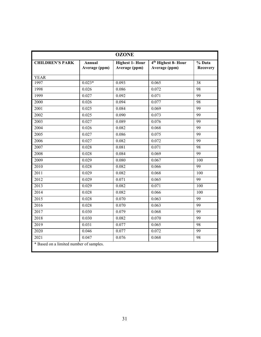| <b>OZONE</b>                            |                         |                                         |                                                  |                           |  |
|-----------------------------------------|-------------------------|-----------------------------------------|--------------------------------------------------|---------------------------|--|
| <b>CHILDREN'S PARK</b>                  | Annual<br>Average (ppm) | <b>Highest 1- Hour</b><br>Average (ppm) | 4 <sup>th</sup> Highest 8- Hour<br>Average (ppm) | % Data<br><b>Recovery</b> |  |
| <b>YEAR</b>                             |                         |                                         |                                                  |                           |  |
| 1997                                    | $0.023*$                | 0.093                                   | 0.065                                            | 38                        |  |
| 1998                                    | 0.026                   | 0.086                                   | 0.072                                            | 98                        |  |
| 1999                                    | 0.027                   | 0.092                                   | 0.071                                            | 99                        |  |
| 2000                                    | 0.026                   | 0.094                                   | 0.077                                            | 98                        |  |
| 2001                                    | 0.025                   | 0.084                                   | 0.069                                            | 99                        |  |
| 2002                                    | 0.025                   | 0.090                                   | 0.073                                            | 99                        |  |
| 2003                                    | 0.027                   | 0.089                                   | 0.076                                            | 99                        |  |
| 2004                                    | 0.026                   | 0.082                                   | 0.068                                            | 99                        |  |
| 2005                                    | 0.027                   | 0.086                                   | 0.075                                            | 99                        |  |
| 2006                                    | 0.027                   | 0.082                                   | 0.072                                            | 99                        |  |
| 2007                                    | 0.028                   | 0.081                                   | 0.071                                            | 98                        |  |
| 2008                                    | 0.028                   | 0.084                                   | 0.069                                            | 99                        |  |
| 2009                                    | 0.029                   | 0.080                                   | 0.067                                            | 100                       |  |
| 2010                                    | 0.028                   | 0.082                                   | 0.066                                            | 99                        |  |
| $\overline{2011}$                       | 0.029                   | 0.082                                   | 0.068                                            | 100                       |  |
| 2012                                    | 0.029                   | 0.071                                   | 0.065                                            | 99                        |  |
| 2013                                    | 0.029                   | 0.082                                   | 0.071                                            | 100                       |  |
| 2014                                    | 0.028                   | 0.082                                   | 0.066                                            | 100                       |  |
| 2015                                    | 0.028                   | 0.070                                   | 0.063                                            | 99                        |  |
| 2016                                    | 0.028                   | 0.070                                   | 0.063                                            | 99                        |  |
| 2017                                    | 0.030                   | 0.079                                   | 0.068                                            | 99                        |  |
| 2018                                    | 0.030                   | 0.082                                   | 0.070                                            | 99                        |  |
| 2019                                    | 0.031                   | 0.077                                   | 0.065                                            | 98                        |  |
| 2020                                    | 0.046                   | 0.077                                   | 0.072                                            | 99                        |  |
| 2021                                    | 0.047                   | 0.076                                   | 0.068                                            | 98                        |  |
| * Based on a limited number of samples. |                         |                                         |                                                  |                           |  |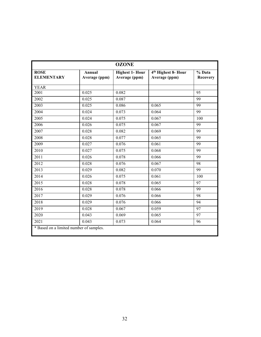| <b>OZONE</b>                            |                         |                                         |                                                  |                           |  |
|-----------------------------------------|-------------------------|-----------------------------------------|--------------------------------------------------|---------------------------|--|
| <b>ROSE</b><br><b>ELEMENTARY</b>        | Annual<br>Average (ppm) | <b>Highest 1- Hour</b><br>Average (ppm) | 4 <sup>th</sup> Highest 8- Hour<br>Average (ppm) | % Data<br><b>Recovery</b> |  |
| <b>YEAR</b>                             |                         |                                         |                                                  |                           |  |
| 2001                                    | 0.025                   | 0.082                                   |                                                  | 95                        |  |
| 2002                                    | 0.025                   | 0.087                                   |                                                  | 99                        |  |
| 2003                                    | 0.025                   | 0.086                                   | 0.065                                            | 99                        |  |
| 2004                                    | 0.024                   | 0.073                                   | 0.064                                            | 99                        |  |
| 2005                                    | 0.024                   | 0.075                                   | 0.067                                            | 100                       |  |
| $20\overline{06}$                       | 0.026                   | 0.075                                   | 0.067                                            | 99                        |  |
| 2007                                    | 0.028                   | 0.082                                   | 0.069                                            | 99                        |  |
| 2008                                    | 0.028                   | 0.077                                   | 0.065                                            | 99                        |  |
| 2009                                    | 0.027                   | 0.076                                   | 0.061                                            | 99                        |  |
| 2010                                    | 0.027                   | 0.075                                   | 0.068                                            | 99                        |  |
| 2011                                    | 0.026                   | 0.078                                   | 0.066                                            | 99                        |  |
| 2012                                    | 0.028                   | 0.076                                   | 0.067                                            | 98                        |  |
| 2013                                    | 0.029                   | 0.082                                   | 0.070                                            | 99                        |  |
| 2014                                    | 0.026                   | 0.075                                   | 0.061                                            | 100                       |  |
| 2015                                    | 0.028                   | 0.078                                   | 0.065                                            | 97                        |  |
| 2016                                    | 0.028                   | 0.078                                   | 0.066                                            | 99                        |  |
| 2017                                    | 0.029                   | 0.076                                   | 0.066                                            | 98                        |  |
| 2018                                    | 0.029                   | 0.076                                   | 0.066                                            | 94                        |  |
| 2019                                    | 0.028                   | 0.067                                   | 0.059                                            | 97                        |  |
| 2020                                    | 0.043                   | 0.069                                   | 0.065                                            | 97                        |  |
| 2021                                    | 0.043                   | 0.073                                   | 0.064                                            | 96                        |  |
| * Based on a limited number of samples. |                         |                                         |                                                  |                           |  |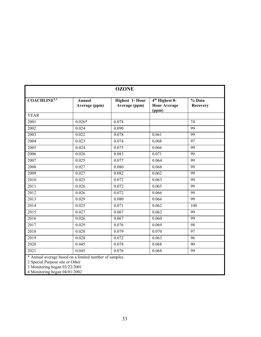| <b>OZONE</b>            |                                         |                                                            |                    |  |  |
|-------------------------|-----------------------------------------|------------------------------------------------------------|--------------------|--|--|
| Annual<br>Average (ppm) | <b>Highest 1- Hour</b><br>Average (ppm) | 4 <sup>th</sup> Highest 8-<br><b>Hour Average</b><br>(ppm) | % Data<br>Recovery |  |  |
|                         |                                         |                                                            |                    |  |  |
|                         | 0.078                                   |                                                            | 74                 |  |  |
| 0.024                   | 0.090                                   |                                                            | 99                 |  |  |
| 0.022                   | 0.078                                   | 0.061                                                      | 99                 |  |  |
| 0.023                   | 0.074                                   | 0.068                                                      | 97                 |  |  |
| 0.024                   | 0.075                                   | 0.066                                                      | 99                 |  |  |
| 0.026                   | 0.083                                   | 0.071                                                      | 99                 |  |  |
| 0.025                   | 0.077                                   | 0.064                                                      | 99                 |  |  |
| 0.027                   | 0.080                                   | 0.068                                                      | 99                 |  |  |
| 0.027                   | 0.082                                   | 0.062                                                      | 99                 |  |  |
| 0.025                   | 0.072                                   | 0.063                                                      | 99                 |  |  |
| 0.026                   | 0.072                                   | 0.065                                                      | 99                 |  |  |
| 0.026                   | 0.072                                   | 0.066                                                      | 99                 |  |  |
| 0.029                   | 0.080                                   | 0.066                                                      | 99                 |  |  |
| 0.025                   | 0.071                                   | 0.062                                                      | 100                |  |  |
| 0.027                   | 0.067                                   | 0.062                                                      | 99                 |  |  |
| 0.026                   | 0.067                                   | 0.060                                                      | 99                 |  |  |
| 0.029                   | 0.076                                   | 0.069                                                      | 98                 |  |  |
| 0.028                   | 0.079                                   | 0.070                                                      | 97                 |  |  |
| 0.028                   | 0.072                                   | 0.063                                                      | 96                 |  |  |
| 0.045                   | 0.078                                   | 0.068                                                      | 90                 |  |  |
| 0.045                   | 0.076                                   | 0.068                                                      | 99                 |  |  |
|                         | $0.026*$                                |                                                            |                    |  |  |

2 Special Purpose site or Other

3 Monitoring began 03/22/2001

4 Monitoring began 04/01/2002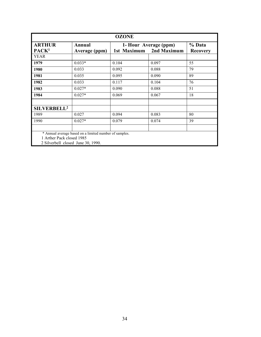| <b>OZONE</b>                                                    |                                                        |       |                                                     |    |  |
|-----------------------------------------------------------------|--------------------------------------------------------|-------|-----------------------------------------------------|----|--|
| <b>ARTHUR</b><br>PACK <sup>1</sup>                              | Annual<br>Average (ppm)                                |       | 1- Hour Average (ppm)<br>2nd Maximum<br>1st Maximum |    |  |
| <b>YEAR</b>                                                     |                                                        |       |                                                     |    |  |
| 1979                                                            | $0.033*$                                               | 0.104 | 0.097                                               | 55 |  |
| 1980                                                            | 0.033                                                  | 0.092 | 0.088                                               | 79 |  |
| 1981                                                            | 0.035                                                  | 0.095 | 0.090                                               | 89 |  |
| 1982                                                            | 0.033                                                  | 0.117 | 0.104                                               | 76 |  |
| 1983                                                            | $0.027*$                                               | 0.090 | 0.088                                               | 51 |  |
| 1984                                                            | $0.027*$                                               | 0.069 | 0.067                                               | 18 |  |
| SILVERBELL <sup>2</sup>                                         |                                                        |       |                                                     |    |  |
| 1989                                                            | 0.027                                                  | 0.094 | 0.083                                               | 80 |  |
| 1990                                                            | $0.027*$                                               | 0.079 | 0.074                                               | 39 |  |
|                                                                 |                                                        |       |                                                     |    |  |
| 1 Arther Pack closed 1985<br>2 Silverbell closed June 30, 1990. | * Annual average based on a limited number of samples. |       |                                                     |    |  |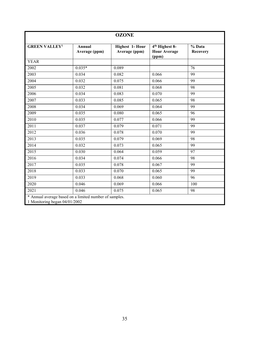| <b>OZONE</b>                                                                            |                         |                                         |                                                            |                           |  |
|-----------------------------------------------------------------------------------------|-------------------------|-----------------------------------------|------------------------------------------------------------|---------------------------|--|
| <b>GREEN VALLEY<sup>1</sup></b>                                                         | Annual<br>Average (ppm) | <b>Highest 1- Hour</b><br>Average (ppm) | 4 <sup>th</sup> Highest 8-<br><b>Hour Average</b><br>(ppm) | % Data<br><b>Recovery</b> |  |
| <b>YEAR</b>                                                                             |                         |                                         |                                                            |                           |  |
| 2002                                                                                    | $0.035*$                | 0.089                                   |                                                            | 76                        |  |
| 2003                                                                                    | 0.034                   | 0.082                                   | 0.066                                                      | 99                        |  |
| 2004                                                                                    | 0.032                   | 0.075                                   | 0.066                                                      | 99                        |  |
| 2005                                                                                    | 0.032                   | 0.081                                   | 0.068                                                      | 98                        |  |
| 2006                                                                                    | 0.034                   | 0.083                                   | 0.070                                                      | 99                        |  |
| 2007                                                                                    | 0.033                   | 0.085                                   | 0.065                                                      | 98                        |  |
| 2008                                                                                    | 0.034                   | 0.069                                   | 0.064                                                      | 99                        |  |
| 2009                                                                                    | 0.035                   | 0.080                                   | 0.065                                                      | 96                        |  |
| $\overline{2010}$                                                                       | 0.035                   | 0.077                                   | 0.066                                                      | 99                        |  |
| 2011                                                                                    | 0.037                   | 0.079                                   | 0.071                                                      | 99                        |  |
| 2012                                                                                    | 0.036                   | 0.078                                   | 0.070                                                      | 99                        |  |
| 2013                                                                                    | 0.035                   | 0.079                                   | 0.069                                                      | 98                        |  |
| 2014                                                                                    | 0.032                   | 0.073                                   | 0.065                                                      | 99                        |  |
| 2015                                                                                    | 0.030                   | 0.064                                   | 0.059                                                      | 97                        |  |
| 2016                                                                                    | 0.034                   | 0.074                                   | 0.066                                                      | 98                        |  |
| 2017                                                                                    | 0.035                   | 0.078                                   | 0.067                                                      | 99                        |  |
| 2018                                                                                    | 0.033                   | 0.070                                   | 0.065                                                      | 99                        |  |
| 2019                                                                                    | 0.033                   | 0.068                                   | 0.060                                                      | 96                        |  |
| 2020                                                                                    | 0.046                   | 0.069                                   | 0.066                                                      | 100                       |  |
| 2021                                                                                    | 0.046                   | 0.075                                   | 0.065                                                      | 98                        |  |
| * Annual average based on a limited number of samples.<br>1 Monitoring began 04/01/2002 |                         |                                         |                                                            |                           |  |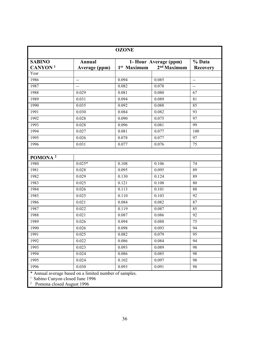| <b>OZONE</b>        |                                                        |                         |                         |                 |  |
|---------------------|--------------------------------------------------------|-------------------------|-------------------------|-----------------|--|
| <b>SABINO</b>       | <b>Annual</b>                                          |                         | 1- Hour Average (ppm)   | % Data          |  |
| CANYON <sup>1</sup> | Average (ppm)                                          | 1 <sup>st</sup> Maximum | 2 <sup>nd</sup> Maximum | <b>Recovery</b> |  |
| Year                |                                                        |                         |                         |                 |  |
| 1986                | $\mathord{\hspace{1pt}\text{--}\hspace{1pt}}$          | 0.094                   | 0.085                   | $\overline{a}$  |  |
| 1987                | $\overline{a}$                                         | 0.082                   | 0.078                   | $-$             |  |
| 1988                | 0.029                                                  | 0.081                   | 0.080                   | 67              |  |
| 1989                | 0.031                                                  | 0.094                   | 0.089                   | 81              |  |
| 1990                | 0.035                                                  | 0.092                   | 0.088                   | 85              |  |
| 1991                | 0.030                                                  | 0.084                   | 0.082                   | 93              |  |
| 1992                | 0.028                                                  | 0.090                   | 0.075                   | 97              |  |
| 1993                | 0.028                                                  | 0.096                   | 0.081                   | 99              |  |
| 1994                | 0.027                                                  | 0.081                   | 0.077                   | 100             |  |
| 1995                | 0.026                                                  | 0.078                   | 0.077                   | 97              |  |
| 1996                | 0.031                                                  | 0.077                   | 0.076                   | 75              |  |
|                     |                                                        |                         |                         |                 |  |
| POMONA <sup>2</sup> |                                                        |                         |                         |                 |  |
| 1980                | $0.025*$                                               | 0.108                   | 0.106                   | 74              |  |
| 1981                | 0.028                                                  | 0.095                   | 0.095                   | 89              |  |
| 1982                | 0.029                                                  | 0.130                   | 0.124                   | 89              |  |
| 1983                | 0.025                                                  | 0.121                   | 0.108                   | 80              |  |
| 1984                | 0.026                                                  | 0.113                   | 0.101                   | 88              |  |
| 1985                | 0.025                                                  | 0.110                   | 0.103                   | 92              |  |
| 1986                | 0.021                                                  | 0.084                   | 0.082                   | 87              |  |
| 1987                | 0.022                                                  | 0.119                   | 0.087                   | 85              |  |
| 1988                | 0.021                                                  | 0.087                   | 0.086                   | 92              |  |
| 1989                | 0.026                                                  | 0.094                   | 0.088                   | 75              |  |
| 1990                | 0.026                                                  | 0.098                   | 0.093                   | 94              |  |
| 1991                | 0.025                                                  | 0.082                   | 0.079                   | $\overline{95}$ |  |
| 1992                | 0.022                                                  | 0.086                   | 0.084                   | 94              |  |
| 1993                | 0.023                                                  | 0.093                   | 0.089                   | 98              |  |
| 1994                | 0.024                                                  | 0.086                   | 0.085                   | 98              |  |
| 1995                | 0.024                                                  | 0.102                   | 0.097                   | 98              |  |
| 1996                | 0.030                                                  | 0.093                   | 0.091                   | 98              |  |
|                     |                                                        |                         |                         |                 |  |
|                     | * Annual average based on a limited number of samples. |                         |                         |                 |  |

<sup>1</sup> Sabino Canyon closed June 1996<br><sup>2</sup> Pomona closed August 1996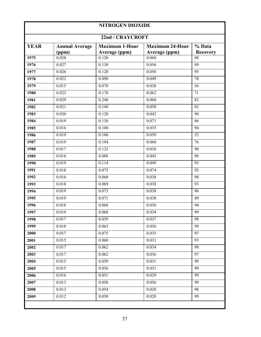## **NITROGEN DIOXIDE 22nd / CRAYCROFT YEAR Annual Average Maximum 1-Hour Average (ppm) Maximum 24-Hour Average (ppm) % Data**

|      | (ppm) | Average (ppm) | Average (ppm) | <b>Recovery</b> |
|------|-------|---------------|---------------|-----------------|
| 1975 | 0.028 | 0.120         | 0.060         | 88              |
| 1976 | 0.027 | 0.130         | 0.056         | 89              |
| 1977 | 0.026 | 0.120         | 0.050         | 95              |
| 1978 | 0.022 | 0.090         | 0.049         | 78              |
| 1979 | 0.015 | 0.070         | 0.038         | 56              |
| 1980 | 0.023 | 0.170         | 0.062         | 71              |
| 1981 | 0.029 | 0.240         | 0.060         | 82              |
| 1982 | 0.021 | 0.140         | 0.058         | 82              |
| 1983 | 0.020 | 0.120         | 0.042         | 90              |
| 1984 | 0.019 | 0.130         | 0.071         | 86              |
| 1985 | 0.016 | 0.100         | 0.035         | 94              |
| 1986 | 0.019 | 0.160         | 0.050         | $\overline{52}$ |
| 1987 | 0.019 | 0.194         | 0.060         | 76              |
| 1988 | 0.017 | 0.125         | 0.038         | 90              |
| 1989 | 0.018 | 0.088         | 0.045         | 96              |
| 1990 | 0.019 | 0.114         | 0.049         | 93              |
| 1991 | 0.018 | 0.075         | 0.074         | 92              |
| 1992 | 0.016 | 0.068         | 0.038         | $\overline{98}$ |
| 1993 | 0.018 | 0.069         | 0.038         | 93              |
| 1994 | 0.019 | 0.073         | 0.038         | 96              |
| 1995 | 0.019 | 0.071         | 0.038         | 89              |
| 1996 | 0.018 | 0.068         | 0.036         | 94              |
| 1997 | 0.019 | 0.068         | 0.034         | 99              |
| 1998 | 0.017 | 0.059         | 0.037         | 98              |
| 1999 | 0.018 | 0.063         | 0.036         | 99              |
| 2000 | 0.017 | 0.075         | 0.035         | $\overline{97}$ |
| 2001 | 0.015 | 0.060         | 0.031         | 93              |
| 2002 | 0.017 | 0.062         | 0.034         | 98              |
| 2003 | 0.017 | 0.062         | 0.036         | 97              |
| 2004 | 0.015 | 0.059         | 0.031         | 99              |
| 2005 | 0.015 | 0.056         | 0.031         | 99              |
| 2006 | 0.016 | 0.051         | 0.029         | 99              |
| 2007 | 0.013 | 0.058         | 0.056         | 99              |
| 2008 | 0.013 | 0.054         | 0.028         | 98              |
| 2009 | 0.012 | 0.050         | 0.028         | 99              |
|      |       |               |               |                 |
|      |       |               |               |                 |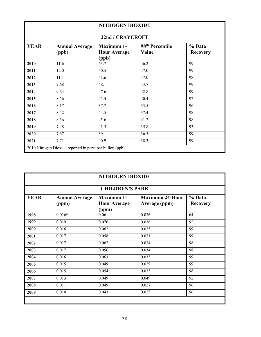|                                                                                                                                                                         | <b>NITROGEN DIOXIDE</b> |      |      |    |  |  |
|-------------------------------------------------------------------------------------------------------------------------------------------------------------------------|-------------------------|------|------|----|--|--|
| 22nd / CRAYCROFT                                                                                                                                                        |                         |      |      |    |  |  |
| <b>YEAR</b><br>98 <sup>th</sup> Percentile<br><b>Maximum 1-</b><br>% Data<br><b>Annual Average</b><br><b>Hour Average</b><br>Value<br>(ppb)<br><b>Recovery</b><br>(ppb) |                         |      |      |    |  |  |
| 2010                                                                                                                                                                    | 11.6                    | 63.7 | 46.2 | 99 |  |  |
| 2011                                                                                                                                                                    | 12.0                    | 50.5 | 47.0 | 99 |  |  |
| 2012                                                                                                                                                                    | 11.1                    | 51.6 | 47.0 | 98 |  |  |
| 2013                                                                                                                                                                    | 9.68                    | 48.1 | 43.7 | 99 |  |  |
| 2014                                                                                                                                                                    | 9.64                    | 47.6 | 42.8 | 99 |  |  |
| 2015                                                                                                                                                                    | 8.56                    | 45.4 | 40.4 | 97 |  |  |
| 2016                                                                                                                                                                    | 8.17                    | 37.7 | 33.5 | 96 |  |  |
| 2017                                                                                                                                                                    | 8.42                    | 44.5 | 37.4 | 98 |  |  |
| 2018                                                                                                                                                                    | 8.36                    | 45.6 | 41.2 | 98 |  |  |
| 2019                                                                                                                                                                    | 7.48                    | 41.5 | 35.8 | 93 |  |  |
| 2020                                                                                                                                                                    | 7.67                    | 39   | 36.5 | 99 |  |  |
| 2021                                                                                                                                                                    | 7.71                    | 40.9 | 38.3 | 99 |  |  |
| 2010 Nitrogen Dioxide reported in parts per billion (ppb)                                                                                                               |                         |      |      |    |  |  |

|                                                                                                                                                                            | <b>NITROGEN DIOXIDE</b> |                        |       |    |  |  |
|----------------------------------------------------------------------------------------------------------------------------------------------------------------------------|-------------------------|------------------------|-------|----|--|--|
|                                                                                                                                                                            |                         | <b>CHILDREN'S PARK</b> |       |    |  |  |
| <b>YEAR</b><br><b>Maximum 1-</b><br><b>Maximum 24-Hour</b><br>% Data<br><b>Annual Average</b><br><b>Hour Average</b><br>Average (ppm)<br>(ppm)<br><b>Recovery</b><br>(ppm) |                         |                        |       |    |  |  |
| 1998                                                                                                                                                                       | $0.016*$                | 0.061                  | 0.036 | 64 |  |  |
| 1999                                                                                                                                                                       | 0.019                   | 0.070                  | 0.036 | 92 |  |  |
| 2000                                                                                                                                                                       | 0.016                   | 0.062                  | 0.033 | 99 |  |  |
| 2001                                                                                                                                                                       | 0.017                   | 0.058                  | 0.031 | 99 |  |  |
| 2002                                                                                                                                                                       | 0.017                   | 0.062                  | 0.034 | 98 |  |  |
| 2003                                                                                                                                                                       | 0.017                   | 0.056                  | 0.034 | 98 |  |  |
| 2004                                                                                                                                                                       | 0.016                   | 0.063                  | 0.033 | 99 |  |  |
| 2005                                                                                                                                                                       | 0.015                   | 0.049                  | 0.029 | 99 |  |  |
| 2006                                                                                                                                                                       | 0.015                   | 0.054                  | 0.033 | 98 |  |  |
| 2007                                                                                                                                                                       | 0.013                   | 0.049                  | 0.049 | 92 |  |  |
| 2008                                                                                                                                                                       | 0.011                   | 0.049                  | 0.027 | 96 |  |  |
| 2009                                                                                                                                                                       | 0.010                   | 0.043                  | 0.025 | 96 |  |  |
|                                                                                                                                                                            |                         |                        |       |    |  |  |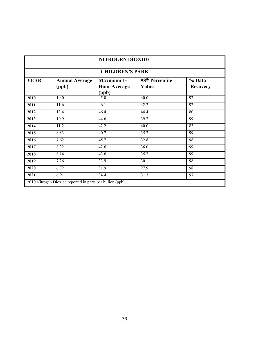| NITROGEN DIOXIDE       |                                                           |                                                   |                                      |                           |  |
|------------------------|-----------------------------------------------------------|---------------------------------------------------|--------------------------------------|---------------------------|--|
| <b>CHILDREN'S PARK</b> |                                                           |                                                   |                                      |                           |  |
| <b>YEAR</b>            | <b>Annual Average</b><br>(ppb)                            | <b>Maximum 1-</b><br><b>Hour Average</b><br>(ppb) | 98 <sup>th</sup> Percentile<br>Value | % Data<br><b>Recovery</b> |  |
| 2010                   | 10.0                                                      | 45.0                                              | 40.0                                 | 97                        |  |
| 2011                   | 11.6                                                      | 46.1                                              | 42.2                                 | 97                        |  |
| 2012                   | 13.4                                                      | 46.4                                              | 44.4                                 | 80                        |  |
| 2013                   | 10.9                                                      | 44.6                                              | 39.7                                 | 99                        |  |
| 2014                   | 11.2                                                      | 42.2                                              | 40.0                                 | 83                        |  |
| 2015                   | 8.83                                                      | 40.7                                              | 35.7                                 | 99                        |  |
| 2016                   | 7.62                                                      | 45.7                                              | 32.8                                 | 98                        |  |
| 2017                   | 8.32                                                      | 42.6                                              | 36.0                                 | 99                        |  |
| 2018                   | 8.14                                                      | 43.6                                              | 35.7                                 | 99                        |  |
| 2019                   | 7.26                                                      | 33.9                                              | 30.1                                 | 98                        |  |
| 2020                   | 6.72                                                      | 31.9                                              | 27.9                                 | 98                        |  |
| 2021                   | 6.91                                                      | 34.4                                              | 31.3                                 | 97                        |  |
|                        | 2010 Nitrogen Dioxide reported in parts per billion (ppb) |                                                   |                                      |                           |  |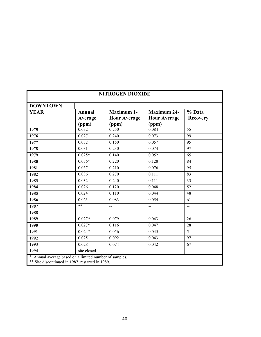| <b>NITROGEN DIOXIDE</b>                                                                                  |                                   |                                                   |                                                    |                           |  |
|----------------------------------------------------------------------------------------------------------|-----------------------------------|---------------------------------------------------|----------------------------------------------------|---------------------------|--|
| <b>DOWNTOWN</b>                                                                                          |                                   |                                                   |                                                    |                           |  |
| <b>YEAR</b>                                                                                              | <b>Annual</b><br>Average<br>(ppm) | <b>Maximum 1-</b><br><b>Hour Average</b><br>(ppm) | <b>Maximum 24-</b><br><b>Hour Average</b><br>(ppm) | % Data<br><b>Recovery</b> |  |
| 1975                                                                                                     | 0.032                             | 0.250                                             | 0.084                                              | $\overline{55}$           |  |
| 1976                                                                                                     | 0.027                             | 0.240                                             | 0.073                                              | 99                        |  |
| 1977                                                                                                     | 0.032                             | 0.150                                             | 0.057                                              | 95                        |  |
| 1978                                                                                                     | 0.031                             | 0.230                                             | 0.074                                              | 97                        |  |
| 1979                                                                                                     | $0.025*$                          | 0.140                                             | 0.052                                              | 65                        |  |
| 1980                                                                                                     | $0.036*$                          | 0.220                                             | 0.128                                              | 84                        |  |
| 1981                                                                                                     | 0.037                             | 0.210                                             | 0.076                                              | 95                        |  |
| 1982                                                                                                     | 0.036                             | 0.270                                             | 0.111                                              | 83                        |  |
| 1983                                                                                                     | 0.032                             | 0.240                                             | 0.111                                              | $\overline{33}$           |  |
| 1984                                                                                                     | 0.026                             | 0.120                                             | 0.048                                              | $\overline{52}$           |  |
| 1985                                                                                                     | 0.024                             | 0.110                                             | 0.044                                              | 48                        |  |
| 1986                                                                                                     | 0.023                             | 0.083                                             | 0.054                                              | 61                        |  |
| 1987                                                                                                     | $***$                             | $\sim$                                            | $\overline{a}$                                     | $\sim$                    |  |
| 1988                                                                                                     | $\sim$                            | $\overline{a}$                                    | $\overline{a}$                                     | $\overline{a}$            |  |
| 1989                                                                                                     | $0.027*$                          | 0.079                                             | 0.043                                              | 26                        |  |
| 1990                                                                                                     | $0.027*$                          | 0.116                                             | 0.047                                              | 28                        |  |
| 1991                                                                                                     | $0.024*$                          | 0.056                                             | 0.045                                              | $\overline{5}$            |  |
| 1992                                                                                                     | 0.025                             | 0.092                                             | 0.043                                              | $\overline{97}$           |  |
| 1993                                                                                                     | 0.028                             | 0.074                                             | 0.042                                              | 67                        |  |
| 1994                                                                                                     | site closed                       |                                                   |                                                    |                           |  |
| Annual average based on a limited number of samples.<br>** Site discontinued in 1987, restarted in 1989. |                                   |                                                   |                                                    |                           |  |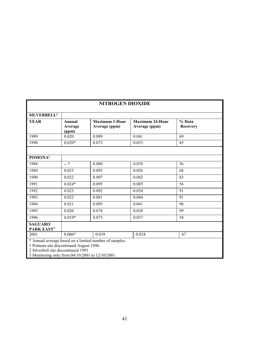| <b>NITROGEN DIOXIDE</b>                                                                                                                                                                     |                            |                                        |                                         |                           |  |
|---------------------------------------------------------------------------------------------------------------------------------------------------------------------------------------------|----------------------------|----------------------------------------|-----------------------------------------|---------------------------|--|
| SILVERBELL <sup>2</sup>                                                                                                                                                                     |                            |                                        |                                         |                           |  |
| <b>YEAR</b>                                                                                                                                                                                 | Annual<br>Average<br>(ppm) | <b>Maximum 1-Hour</b><br>Average (ppm) | <b>Maximum 24-Hour</b><br>Average (ppm) | % Data<br><b>Recovery</b> |  |
| 1989                                                                                                                                                                                        | 0.020                      | 0.089                                  | 0.041                                   | 69                        |  |
| 1990                                                                                                                                                                                        | $0.020*$                   | 0.073                                  | 0.033                                   | 45                        |  |
|                                                                                                                                                                                             |                            |                                        |                                         |                           |  |
| POMONA <sup>1</sup>                                                                                                                                                                         |                            |                                        |                                         |                           |  |
| 1988                                                                                                                                                                                        | $-$ *                      | 0.080                                  | 0.039                                   | 56                        |  |
| 1989                                                                                                                                                                                        | 0.023                      | 0.093                                  | 0.056                                   | 68                        |  |
| 1990                                                                                                                                                                                        | 0.022                      | 0.097                                  | 0.042                                   | 83                        |  |
| 1991                                                                                                                                                                                        | $0.024*$                   | 0.095                                  | 0.085                                   | 56                        |  |
| 1992                                                                                                                                                                                        | 0.023                      | 0.092                                  | 0.054                                   | 91                        |  |
| 1993                                                                                                                                                                                        | 0.022                      | 0.081                                  | 0.044                                   | 91                        |  |
| 1994                                                                                                                                                                                        | 0.021                      | 0.095                                  | 0.041                                   | 98                        |  |
| 1995                                                                                                                                                                                        | 0.020                      | 0.078                                  | 0.038                                   | 99                        |  |
| 1996                                                                                                                                                                                        | $0.019*$                   | 0.075                                  | 0.037                                   | 58                        |  |
| <b>SAGUARO</b><br>PARK EAST <sup>3</sup>                                                                                                                                                    |                            |                                        |                                         |                           |  |
| 2001                                                                                                                                                                                        | $0.006*$                   | 0.039                                  | 0.024                                   | 67                        |  |
| * Annual average based on a limited number of samples.<br>1 Pomona site discontinued August 1996.<br>2 Silverbell site discontinued 1991<br>3 Monitoring only from 04/10/2001 to 12/10/2001 |                            |                                        |                                         |                           |  |

3 Monitoring only from 04/10/2001 to 12/10/2001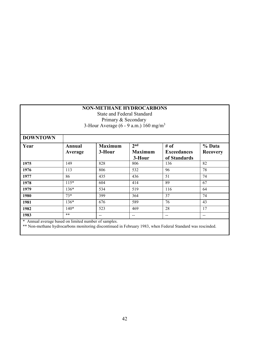#### **NON-METHANE HYDROCARBONS**

State and Federal Standard Primary & Secondary 3-Hour Average (6 - 9 a.m.) 160 mg/m<sup>3</sup>

| <b>DOWNTOWN</b> |                   |                          |                                             |                                            |                           |
|-----------------|-------------------|--------------------------|---------------------------------------------|--------------------------------------------|---------------------------|
| Year            | Annual<br>Average | <b>Maximum</b><br>3-Hour | 2 <sub>nd</sub><br><b>Maximum</b><br>3-Hour | # of<br><b>Exceedances</b><br>of Standards | % Data<br><b>Recovery</b> |
| 1975            | 149               | 828                      | 806                                         | 136                                        | 82                        |
| 1976            | 113               | 806                      | 532                                         | 96                                         | 78                        |
| 1977            | 86                | 435                      | 436                                         | 51                                         | 74                        |
| 1978            | $115*$            | 604                      | 414                                         | 89                                         | 67                        |
| 1979            | 136*              | 534                      | 519                                         | 116                                        | 64                        |
| 1980            | $73*$             | 399                      | 364                                         | 37                                         | 74                        |
| 1981            | 136*              | 676                      | 589                                         | 76                                         | 43                        |
| 1982            | $140*$            | 523                      | 469                                         | 28                                         | 17                        |
| 1983            | $***$             | $- -$                    | $- -$                                       | $\overline{\phantom{m}}$                   |                           |

\* Annual average based on limited number of samples.

\*\* Non-methane hydrocarbons monitoring discontinued in February 1983, when Federal Standard was rescinded.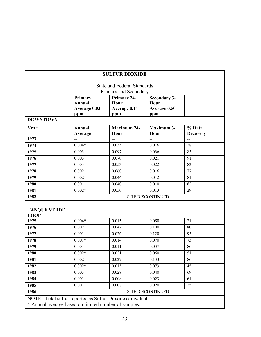|                                                            |                                                 | <b>SULFUR DIOXIDE</b>                      |                                                    |                           |  |  |
|------------------------------------------------------------|-------------------------------------------------|--------------------------------------------|----------------------------------------------------|---------------------------|--|--|
|                                                            |                                                 | <b>State and Federal Standards</b>         |                                                    |                           |  |  |
|                                                            | Primary and Secondary                           |                                            |                                                    |                           |  |  |
|                                                            | Primary<br><b>Annual</b><br>Average 0.03<br>ppm | Primary 24-<br>Hour<br>Average 0.14<br>ppm | <b>Secondary 3-</b><br>Hour<br>Average 0.50<br>ppm |                           |  |  |
| <b>DOWNTOWN</b>                                            |                                                 |                                            |                                                    |                           |  |  |
| Year                                                       | Annual<br>Average                               | <b>Maximum 24-</b><br>Hour                 | <b>Maximum 3-</b><br>Hour                          | % Data<br><b>Recovery</b> |  |  |
| 1973                                                       |                                                 | $\overline{\phantom{0}}$                   | -−                                                 | $\overline{\phantom{a}}$  |  |  |
| 1974                                                       | $0.004*$                                        | 0.035                                      | 0.016                                              | 28                        |  |  |
| 1975                                                       | 0.003                                           | 0.097                                      | 0.036                                              | 85                        |  |  |
| 1976                                                       | 0.003                                           | 0.070                                      | 0.021                                              | 91                        |  |  |
| 1977                                                       | 0.003                                           | 0.053                                      | 0.022                                              | 83                        |  |  |
| 1978                                                       | 0.002                                           | 0.060                                      | 0.016                                              | 77                        |  |  |
| 1979                                                       | 0.002                                           | 0.044                                      | 0.012                                              | 81                        |  |  |
| 1980                                                       | 0.001                                           | 0.040                                      | 0.010                                              | 82                        |  |  |
| 1981                                                       | $0.002*$                                        | 0.050                                      | 0.013                                              | 29                        |  |  |
| 1982                                                       |                                                 |                                            | <b>SITE DISCONTINUED</b>                           |                           |  |  |
|                                                            |                                                 |                                            |                                                    |                           |  |  |
| <b>TANQUE VERDE</b><br><b>LOOP</b>                         |                                                 |                                            |                                                    |                           |  |  |
| 1975                                                       | $0.004*$                                        | 0.015                                      | 0.050                                              | 21                        |  |  |
| 1976                                                       | 0.002                                           | 0.042                                      | 0.100                                              | 80                        |  |  |
| 1977                                                       | 0.001                                           | 0.026                                      | 0.120                                              | 95                        |  |  |
| 1978                                                       | $0.001*$                                        | 0.014                                      | 0.070                                              | 73                        |  |  |
| 1979                                                       | 0.001                                           | 0.011                                      | 0.037                                              | 86                        |  |  |
| 1980                                                       | $0.002*$                                        | 0.021                                      | 0.060                                              | 51                        |  |  |
| 1981                                                       | 0.002                                           | 0.027                                      | 0.133                                              | 86                        |  |  |
| 1982                                                       | $0.002*$                                        | 0.015                                      | 0.073                                              | 45                        |  |  |
| 1983                                                       | 0.003                                           | 0.028                                      | 0.040                                              | 69                        |  |  |
| 1984                                                       | 0.001                                           | 0.008                                      | 0.023                                              | 61                        |  |  |
| 1985                                                       | 0.001                                           | 0.008                                      | 0.020                                              | 25                        |  |  |
| 1986                                                       |                                                 |                                            | SITE DISCONTINUED                                  |                           |  |  |
| NOTE : Total sulfur reported as Sulfur Dioxide equivalent. |                                                 |                                            |                                                    |                           |  |  |
| * Annual average based on limited number of samples.       |                                                 |                                            |                                                    |                           |  |  |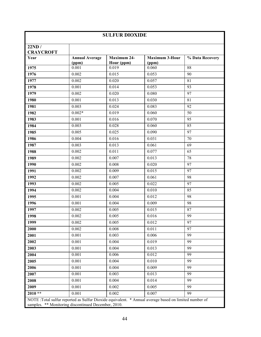| <b>SULFUR DIOXIDE</b>                               |                                |                                  |                                                                                                        |                 |
|-----------------------------------------------------|--------------------------------|----------------------------------|--------------------------------------------------------------------------------------------------------|-----------------|
| 22ND/<br><b>CRAYCROFT</b>                           |                                |                                  |                                                                                                        |                 |
| Year                                                | <b>Annual Average</b><br>(ppm) | <b>Maximum 24-</b><br>Hour (ppm) | <b>Maximum 3-Hour</b><br>(ppm)                                                                         | % Data Recovery |
| 1975                                                | 0.001                          | 0.019                            | 0.060                                                                                                  | 88              |
| 1976                                                | 0.002                          | 0.015                            | 0.053                                                                                                  | 90              |
| 1977                                                | 0.002                          | 0.020                            | 0.057                                                                                                  | 81              |
| 1978                                                | 0.001                          | 0.014                            | 0.053                                                                                                  | 93              |
| 1979                                                | 0.002                          | 0.020                            | 0.080                                                                                                  | 97              |
| 1980                                                | 0.001                          | 0.013                            | 0.030                                                                                                  | 81              |
| 1981                                                | 0.003                          | 0.024                            | 0.083                                                                                                  | 92              |
| 1982                                                | $0.002*$                       | 0.019                            | 0.060                                                                                                  | 50              |
| 1983                                                | 0.001                          | 0.016                            | 0.070                                                                                                  | 95              |
| 1984                                                | 0.003                          | 0.028                            | 0.060                                                                                                  | 85              |
| 1985                                                | 0.005                          | 0.025                            | 0.090                                                                                                  | 97              |
| 1986                                                | 0.004                          | 0.016                            | 0.031                                                                                                  | 70              |
| 1987                                                | 0.003                          | 0.013                            | 0.061                                                                                                  | 69              |
| 1988                                                | 0.002                          | 0.011                            | 0.077                                                                                                  | 65              |
| 1989                                                | 0.002                          | 0.007                            | 0.013                                                                                                  | 78              |
| 1990                                                | 0.002                          | 0.008                            | 0.020                                                                                                  | 97              |
| 1991                                                | 0.002                          | 0.009                            | 0.015                                                                                                  | 97              |
| 1992                                                | 0.002                          | 0.007                            | 0.061                                                                                                  | 98              |
| 1993                                                | 0.002                          | 0.005                            | 0.022                                                                                                  | 97              |
| 1994                                                | 0.002                          | 0.004                            | 0.010                                                                                                  | 85              |
| 1995                                                | 0.001                          | 0.004                            | 0.012                                                                                                  | 98              |
| 1996                                                | 0.001                          | 0.004                            | 0.009                                                                                                  | 98              |
| 1997                                                | 0.002                          | 0.005                            | 0.015                                                                                                  | 87              |
| 1998                                                | 0.002                          | 0.005                            | 0.016                                                                                                  | 99              |
| 1999                                                | 0.002                          | 0.005                            | 0.012                                                                                                  | 97              |
| 2000                                                | 0.002                          | 0.008                            | 0.011                                                                                                  | 97              |
| 2001                                                | 0.001                          | 0.003                            | 0.006                                                                                                  | 99              |
| 2002                                                | 0.001                          | 0.004                            | 0.019                                                                                                  | 99              |
| 2003                                                | 0.001                          | 0.004                            | 0.013                                                                                                  | 99              |
| 2004                                                | 0.001                          | 0.006                            | 0.012                                                                                                  | 99              |
| 2005                                                | 0.001                          | 0.004                            | 0.010                                                                                                  | 99              |
| 2006                                                | 0.001                          | 0.004                            | 0.009                                                                                                  | 99              |
| 2007                                                | 0.001                          | 0.003                            | 0.013                                                                                                  | 99              |
| 2008                                                | 0.001                          | 0.004                            | 0.014                                                                                                  | 99              |
| 2009                                                | 0.001                          | 0.002                            | 0.005                                                                                                  | 99              |
| $2010**$                                            | 0.001                          | 0.002                            | 0.007                                                                                                  | 99              |
| samples. ** Monitoring discontinued December, 2010. |                                |                                  | NOTE : Total sulfur reported as Sulfur Dioxide equivalent. * Annual average based on limited number of |                 |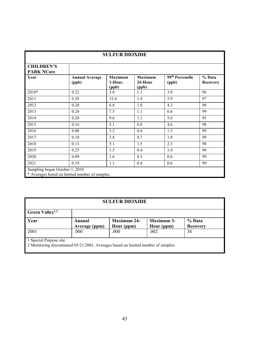| <b>SULFUR DIOXIDE</b>                  |                                                |                                    |                                    |                                      |                           |
|----------------------------------------|------------------------------------------------|------------------------------------|------------------------------------|--------------------------------------|---------------------------|
| <b>CHILDREN'S</b><br><b>PARK NCore</b> |                                                |                                    |                                    |                                      |                           |
| Year                                   | <b>Annual Average</b><br>(ppb)                 | <b>Maximum</b><br>1-Hour.<br>(ppb) | <b>Maximum</b><br>24-Hour<br>(ppb) | 99 <sup>th</sup> Percentile<br>(ppb) | % Data<br><b>Recovery</b> |
| 2010*                                  | 0.22                                           | 3.0                                | 1.1                                | 3.0                                  | 96                        |
| 2011                                   | 0.28                                           | 12.4                               | 1.4                                | 5.9                                  | 97                        |
| 2012                                   | 0.20                                           | 6.8                                | 1.0                                | 4.3                                  | 98                        |
| 2013                                   | 0.24                                           | 7.5                                | 1.1                                | 6.6                                  | 99                        |
| 2014                                   | 0.20                                           | 9.6                                | 1.1                                | 5.6                                  | 95                        |
| 2015                                   | 0.16                                           | 5.1                                | 0.8                                | 4.6                                  | 98                        |
| 2016                                   | 0.08                                           | 3.2                                | 0.4                                | 1.3                                  | 99                        |
| 2017                                   | 0.10                                           | 3.8                                | 0.7                                | 1.9                                  | 99                        |
| 2018                                   | 0.13                                           | 5.1                                | 1.5                                | 2.3                                  | 98                        |
| 2019                                   | 0.25                                           | 1.5                                | 0.4                                | 1.0                                  | 98                        |
| 2020                                   | 0.09                                           | 1.6                                | 0.3                                | 0.6                                  | 99                        |
| 2021                                   | 0.19                                           | 1.1                                | 0.4                                | 0.6                                  | 99                        |
| Sampling began October 1, 2010         | * Averages based on limited number of samples. |                                    |                                    |                                      |                           |

|--|

| <b>Green Valley</b> <sup>1,2</sup> |                         |                                  |                                 |                    |
|------------------------------------|-------------------------|----------------------------------|---------------------------------|--------------------|
| Year                               | Annual<br>Average (ppm) | <b>Maximum 24-</b><br>Hour (ppm) | <b>Maximum 3-</b><br>Hour (ppm) | % Data<br>Recovery |
| 2001<br>$\sim$ 1 $\sim$            | .000                    | .000                             | .002                            | 38                 |

1 Special Purpose site

2 Monitoring discontinued 05/21/2001, Averages based on limited number of samples.